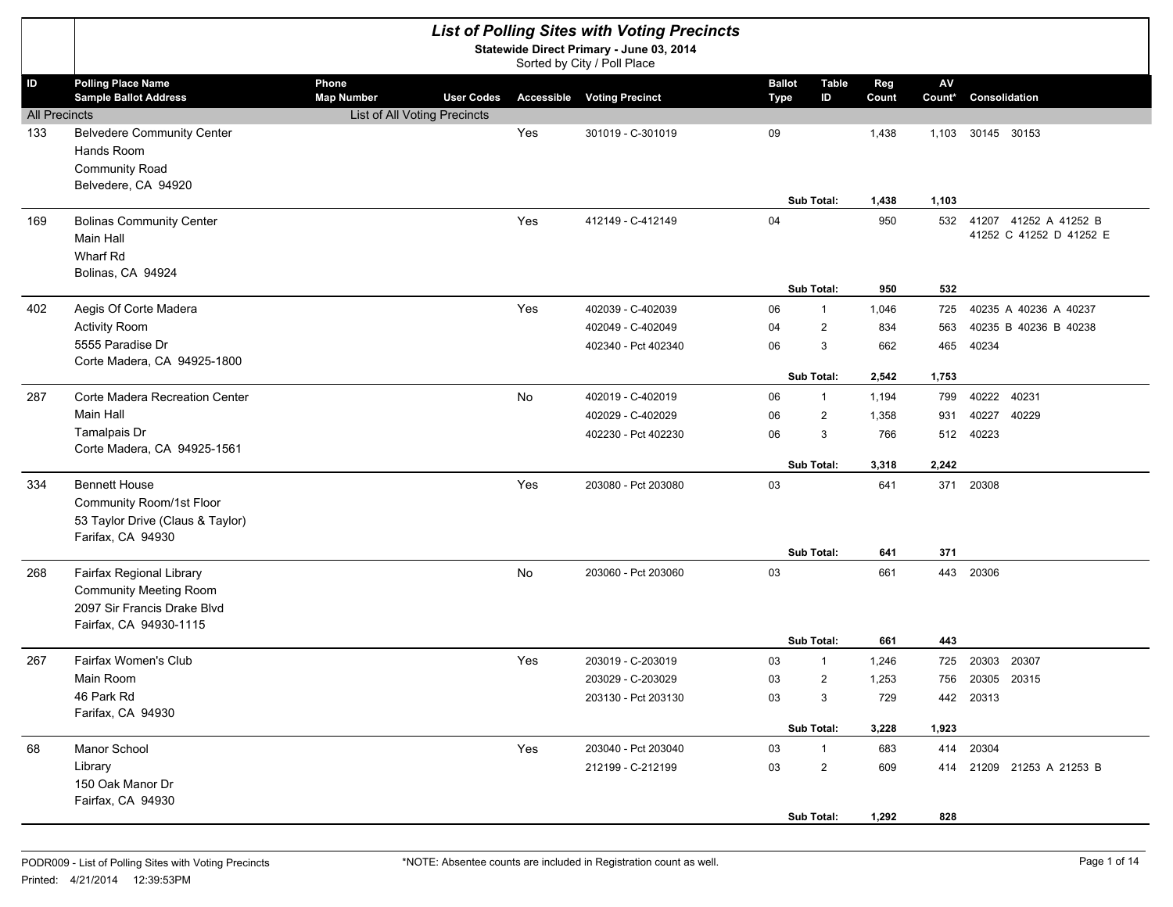|                      |                                                                                                                    |                                                 |     | <b>List of Polling Sites with Voting Precincts</b><br>Statewide Direct Primary - June 03, 2014<br>Sorted by City / Poll Place |                              |                   |              |                         |                                                      |
|----------------------|--------------------------------------------------------------------------------------------------------------------|-------------------------------------------------|-----|-------------------------------------------------------------------------------------------------------------------------------|------------------------------|-------------------|--------------|-------------------------|------------------------------------------------------|
| ID                   | <b>Polling Place Name</b><br><b>Sample Ballot Address</b>                                                          | Phone<br><b>Map Number</b><br><b>User Codes</b> |     | <b>Accessible Voting Precinct</b>                                                                                             | <b>Ballot</b><br><b>Type</b> | Table<br>ID       | Reg<br>Count | $\mathsf{AV}$<br>Count* | Consolidation                                        |
| <b>All Precincts</b> |                                                                                                                    | List of All Voting Precincts                    |     |                                                                                                                               |                              |                   |              |                         |                                                      |
| 133                  | <b>Belvedere Community Center</b><br>Hands Room<br><b>Community Road</b><br>Belvedere, CA 94920                    |                                                 | Yes | 301019 - C-301019                                                                                                             | 09                           |                   | 1,438        | 1,103                   | 30145 30153                                          |
|                      |                                                                                                                    |                                                 |     |                                                                                                                               |                              | Sub Total:        | 1,438        | 1,103                   |                                                      |
| 169                  | <b>Bolinas Community Center</b><br>Main Hall<br>Wharf Rd<br>Bolinas, CA 94924                                      |                                                 | Yes | 412149 - C-412149                                                                                                             | 04                           |                   | 950          |                         | 532 41207 41252 A 41252 B<br>41252 C 41252 D 41252 E |
|                      |                                                                                                                    |                                                 |     |                                                                                                                               |                              | Sub Total:        | 950          | 532                     |                                                      |
| 402                  | Aegis Of Corte Madera                                                                                              |                                                 | Yes | 402039 - C-402039                                                                                                             | 06                           | $\mathbf{1}$      | 1,046        | 725                     | 40235 A 40236 A 40237                                |
|                      | <b>Activity Room</b>                                                                                               |                                                 |     | 402049 - C-402049                                                                                                             | 04                           | $\overline{2}$    | 834          | 563                     | 40235 B 40236 B 40238                                |
|                      | 5555 Paradise Dr                                                                                                   |                                                 |     | 402340 - Pct 402340                                                                                                           | 06                           | 3                 | 662          | 465                     | 40234                                                |
|                      | Corte Madera, CA 94925-1800                                                                                        |                                                 |     |                                                                                                                               |                              | <b>Sub Total:</b> | 2,542        | 1,753                   |                                                      |
| 287                  | Corte Madera Recreation Center                                                                                     |                                                 | No  | 402019 - C-402019                                                                                                             | 06                           | $\mathbf{1}$      | 1,194        | 799                     | 40222<br>40231                                       |
|                      | Main Hall                                                                                                          |                                                 |     | 402029 - C-402029                                                                                                             | 06                           | $\overline{2}$    | 1,358        | 931                     | 40227<br>40229                                       |
|                      | Tamalpais Dr                                                                                                       |                                                 |     | 402230 - Pct 402230                                                                                                           | 06                           | 3                 | 766          | 512                     | 40223                                                |
|                      | Corte Madera, CA 94925-1561                                                                                        |                                                 |     |                                                                                                                               |                              |                   |              |                         |                                                      |
|                      |                                                                                                                    |                                                 |     |                                                                                                                               |                              | Sub Total:        | 3,318        | 2,242                   |                                                      |
| 334                  | <b>Bennett House</b><br>Community Room/1st Floor<br>53 Taylor Drive (Claus & Taylor)<br>Farifax, CA 94930          |                                                 | Yes | 203080 - Pct 203080                                                                                                           | 03                           |                   | 641          | 371                     | 20308                                                |
|                      |                                                                                                                    |                                                 |     |                                                                                                                               |                              | Sub Total:        | 641          | 371                     |                                                      |
| 268                  | Fairfax Regional Library<br><b>Community Meeting Room</b><br>2097 Sir Francis Drake Blvd<br>Fairfax, CA 94930-1115 |                                                 | No  | 203060 - Pct 203060                                                                                                           | 03                           |                   | 661          | 443                     | 20306                                                |
|                      |                                                                                                                    |                                                 |     |                                                                                                                               |                              | <b>Sub Total:</b> | 661          | 443                     |                                                      |
| 267                  | Fairfax Women's Club                                                                                               |                                                 | Yes | 203019 - C-203019                                                                                                             | 03                           | $\mathbf{1}$      | 1,246        | 725                     | 20303 20307                                          |
|                      | Main Room                                                                                                          |                                                 |     | 203029 - C-203029                                                                                                             | 03                           | $\overline{2}$    | 1,253        | 756                     | 20305 20315                                          |
|                      | 46 Park Rd<br>Farifax, CA 94930                                                                                    |                                                 |     | 203130 - Pct 203130                                                                                                           | 03                           | 3                 | 729          |                         | 442 20313                                            |
|                      |                                                                                                                    |                                                 |     |                                                                                                                               |                              | Sub Total:        | 3,228        | 1,923                   |                                                      |
| 68                   | Manor School                                                                                                       |                                                 | Yes | 203040 - Pct 203040                                                                                                           | 03                           | $\mathbf{1}$      | 683          |                         | 414 20304                                            |
|                      | Library<br>150 Oak Manor Dr<br>Fairfax, CA 94930                                                                   |                                                 |     | 212199 - C-212199                                                                                                             | 03                           | $\overline{2}$    | 609          |                         | 414 21209 21253 A 21253 B                            |
|                      |                                                                                                                    |                                                 |     |                                                                                                                               |                              | Sub Total:        | 1,292        | 828                     |                                                      |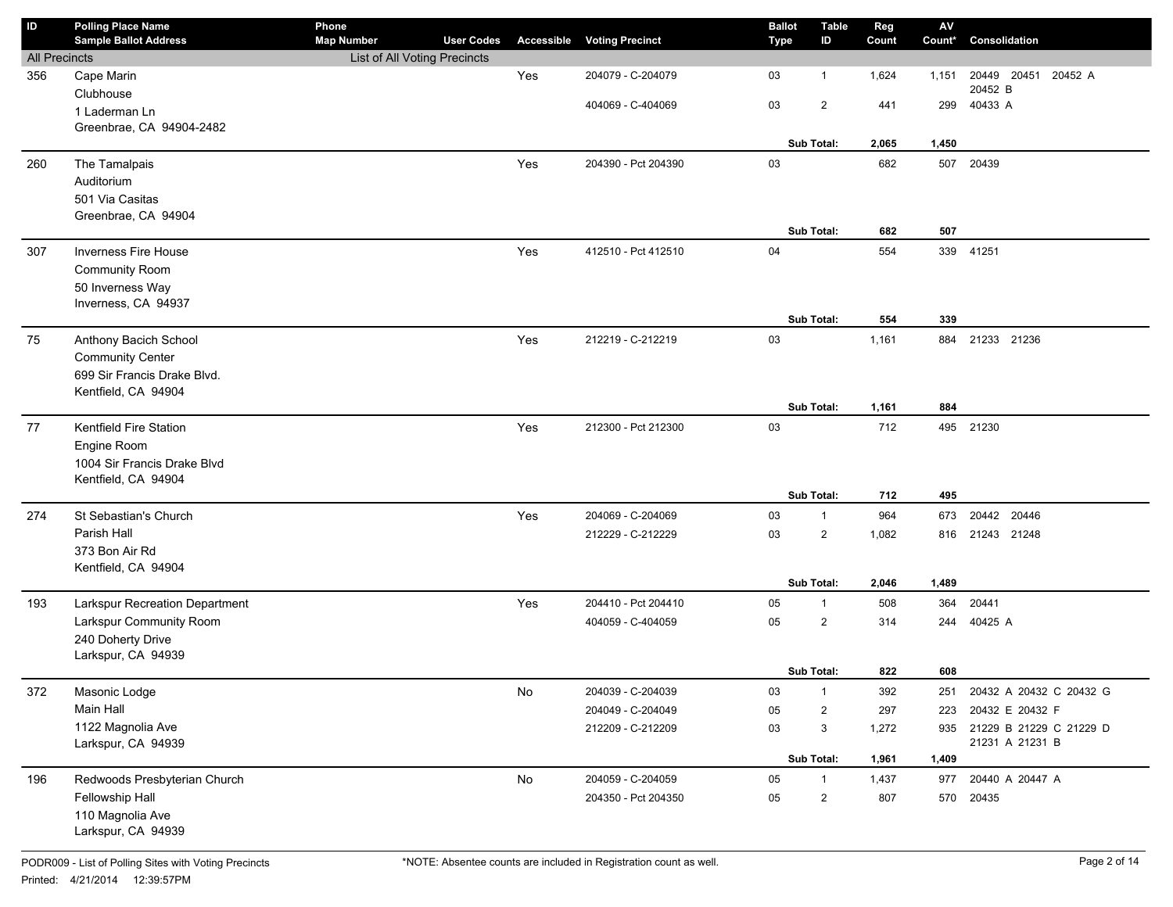| $\sf ID$             | <b>Polling Place Name</b>      | Phone                        |                   |            |                        | <b>Ballot</b> | <b>Table</b>   | Reg   | ${\sf AV}$ |                             |
|----------------------|--------------------------------|------------------------------|-------------------|------------|------------------------|---------------|----------------|-------|------------|-----------------------------|
|                      | <b>Sample Ballot Address</b>   | <b>Map Number</b>            | <b>User Codes</b> | Accessible | <b>Voting Precinct</b> | <b>Type</b>   | ID             | Count | Count*     | Consolidation               |
| <b>All Precincts</b> |                                | List of All Voting Precincts |                   |            |                        |               |                |       |            |                             |
| 356                  | Cape Marin                     |                              |                   | Yes        | 204079 - C-204079      | 03            | $\mathbf{1}$   | 1,624 | 1,151      | 20449 20451<br>20452 A      |
|                      | Clubhouse                      |                              |                   |            | 404069 - C-404069      | 03            | $\overline{2}$ | 441   | 299        | 20452 B<br>40433 A          |
|                      | 1 Laderman Ln                  |                              |                   |            |                        |               |                |       |            |                             |
|                      | Greenbrae, CA 94904-2482       |                              |                   |            |                        |               |                |       |            |                             |
|                      |                                |                              |                   |            |                        |               | Sub Total:     | 2,065 | 1,450      |                             |
| 260                  | The Tamalpais                  |                              |                   | Yes        | 204390 - Pct 204390    | 03            |                | 682   | 507        | 20439                       |
|                      | Auditorium                     |                              |                   |            |                        |               |                |       |            |                             |
|                      | 501 Via Casitas                |                              |                   |            |                        |               |                |       |            |                             |
|                      | Greenbrae, CA 94904            |                              |                   |            |                        |               | Sub Total:     |       |            |                             |
|                      |                                |                              |                   |            |                        |               |                | 682   | 507        |                             |
| 307                  | <b>Inverness Fire House</b>    |                              |                   | Yes        | 412510 - Pct 412510    | 04            |                | 554   | 339        | 41251                       |
|                      | <b>Community Room</b>          |                              |                   |            |                        |               |                |       |            |                             |
|                      | 50 Inverness Way               |                              |                   |            |                        |               |                |       |            |                             |
|                      | Inverness, CA 94937            |                              |                   |            |                        |               |                |       | 339        |                             |
|                      |                                |                              |                   |            |                        |               | Sub Total:     | 554   |            |                             |
| 75                   | Anthony Bacich School          |                              |                   | Yes        | 212219 - C-212219      | 03            |                | 1,161 | 884        | 21233 21236                 |
|                      | <b>Community Center</b>        |                              |                   |            |                        |               |                |       |            |                             |
|                      | 699 Sir Francis Drake Blvd.    |                              |                   |            |                        |               |                |       |            |                             |
|                      | Kentfield, CA 94904            |                              |                   |            |                        |               | Sub Total:     | 1,161 | 884        |                             |
|                      |                                |                              |                   |            |                        |               |                |       |            |                             |
| 77                   | Kentfield Fire Station         |                              |                   | Yes        | 212300 - Pct 212300    | 03            |                | 712   |            | 495 21230                   |
|                      | Engine Room                    |                              |                   |            |                        |               |                |       |            |                             |
|                      | 1004 Sir Francis Drake Blvd    |                              |                   |            |                        |               |                |       |            |                             |
|                      | Kentfield, CA 94904            |                              |                   |            |                        |               | Sub Total:     | 712   | 495        |                             |
|                      | St Sebastian's Church          |                              |                   | Yes        | 204069 - C-204069      | 03            | $\mathbf{1}$   | 964   | 673        | 20442 20446                 |
| 274                  | Parish Hall                    |                              |                   |            |                        |               |                |       |            |                             |
|                      | 373 Bon Air Rd                 |                              |                   |            | 212229 - C-212229      | 03            | $\overline{2}$ | 1,082 | 816        | 21243 21248                 |
|                      | Kentfield, CA 94904            |                              |                   |            |                        |               |                |       |            |                             |
|                      |                                |                              |                   |            |                        |               | Sub Total:     | 2,046 | 1,489      |                             |
| 193                  | Larkspur Recreation Department |                              |                   | Yes        | 204410 - Pct 204410    | 05            | $\mathbf{1}$   | 508   | 364        | 20441                       |
|                      | Larkspur Community Room        |                              |                   |            | 404059 - C-404059      | 05            | $\overline{2}$ | 314   | 244        | 40425 A                     |
|                      | 240 Doherty Drive              |                              |                   |            |                        |               |                |       |            |                             |
|                      | Larkspur, CA 94939             |                              |                   |            |                        |               |                |       |            |                             |
|                      |                                |                              |                   |            |                        |               | Sub Total:     | 822   | 608        |                             |
| 372                  | Masonic Lodge                  |                              |                   | No         | 204039 - C-204039      | 03            | $\mathbf{1}$   | 392   | 251        | 20432 A 20432 C 20432 G     |
|                      | Main Hall                      |                              |                   |            | 204049 - C-204049      | 05            | $\overline{2}$ | 297   | 223        | 20432 E 20432 F             |
|                      | 1122 Magnolia Ave              |                              |                   |            | 212209 - C-212209      | 03            | 3              | 1,272 |            | 935 21229 B 21229 C 21229 D |
|                      | Larkspur, CA 94939             |                              |                   |            |                        |               |                |       |            | 21231 A 21231 B             |
|                      |                                |                              |                   |            |                        |               | Sub Total:     | 1,961 | 1,409      |                             |
| 196                  | Redwoods Presbyterian Church   |                              |                   | No         | 204059 - C-204059      | 05            | $\mathbf{1}$   | 1,437 | 977        | 20440 A 20447 A             |
|                      | Fellowship Hall                |                              |                   |            | 204350 - Pct 204350    | 05            | $\overline{2}$ | 807   |            | 570 20435                   |
|                      | 110 Magnolia Ave               |                              |                   |            |                        |               |                |       |            |                             |
|                      | Larkspur, CA 94939             |                              |                   |            |                        |               |                |       |            |                             |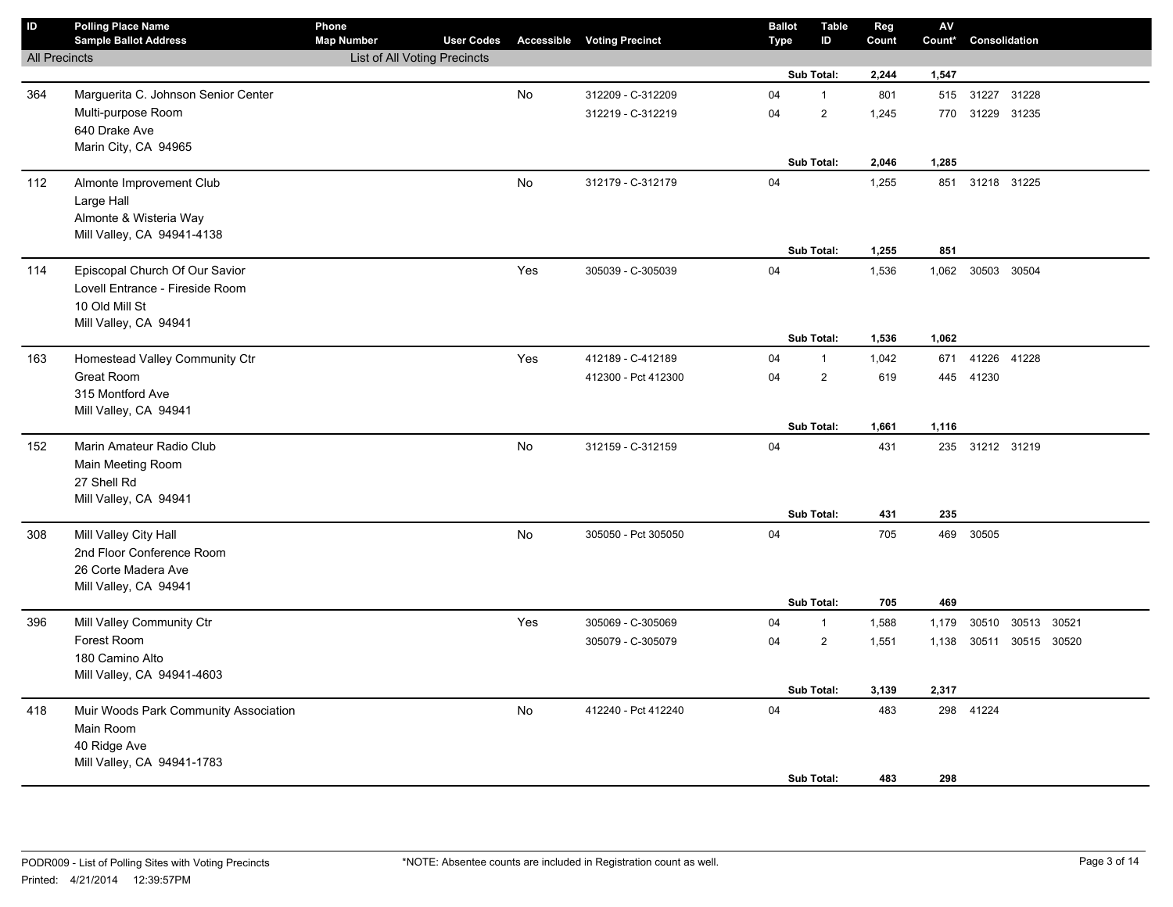| $\sf ID$             | <b>Polling Place Name</b><br><b>Sample Ballot Address</b> | Phone<br><b>Map Number</b>          | <b>User Codes</b> |     | <b>Accessible Voting Precinct</b> | <b>Ballot</b><br><b>Type</b> | Table<br>ID    | Reg<br>Count | ${\sf AV}$<br>Count* | Consolidation     |  |  |
|----------------------|-----------------------------------------------------------|-------------------------------------|-------------------|-----|-----------------------------------|------------------------------|----------------|--------------|----------------------|-------------------|--|--|
| <b>All Precincts</b> |                                                           | <b>List of All Voting Precincts</b> |                   |     |                                   |                              |                |              |                      |                   |  |  |
|                      |                                                           |                                     |                   |     |                                   |                              | Sub Total:     | 2,244        | 1,547                |                   |  |  |
| 364                  | Marguerita C. Johnson Senior Center                       |                                     |                   | No  | 312209 - C-312209                 | 04                           | $\mathbf{1}$   | 801          | 515                  | 31227 31228       |  |  |
|                      | Multi-purpose Room                                        |                                     |                   |     | 312219 - C-312219                 | 04                           | $\overline{2}$ | 1,245        | 770                  | 31229 31235       |  |  |
|                      | 640 Drake Ave                                             |                                     |                   |     |                                   |                              |                |              |                      |                   |  |  |
|                      | Marin City, CA 94965                                      |                                     |                   |     |                                   |                              |                |              |                      |                   |  |  |
|                      |                                                           |                                     |                   |     |                                   |                              | Sub Total:     | 2,046        | 1,285                |                   |  |  |
| 112                  | Almonte Improvement Club                                  |                                     |                   | No  | 312179 - C-312179                 | 04                           |                | 1,255        | 851                  | 31218 31225       |  |  |
|                      | Large Hall                                                |                                     |                   |     |                                   |                              |                |              |                      |                   |  |  |
|                      | Almonte & Wisteria Way                                    |                                     |                   |     |                                   |                              |                |              |                      |                   |  |  |
|                      | Mill Valley, CA 94941-4138                                |                                     |                   |     |                                   |                              | Sub Total:     | 1,255        | 851                  |                   |  |  |
|                      |                                                           |                                     |                   |     |                                   |                              |                |              |                      |                   |  |  |
| 114                  | Episcopal Church Of Our Savior                            |                                     |                   | Yes | 305039 - C-305039                 | 04                           |                | 1,536        |                      | 1,062 30503 30504 |  |  |
|                      | Lovell Entrance - Fireside Room<br>10 Old Mill St         |                                     |                   |     |                                   |                              |                |              |                      |                   |  |  |
|                      | Mill Valley, CA 94941                                     |                                     |                   |     |                                   |                              |                |              |                      |                   |  |  |
|                      |                                                           |                                     |                   |     |                                   |                              | Sub Total:     | 1,536        | 1,062                |                   |  |  |
| 163                  | Homestead Valley Community Ctr                            |                                     |                   | Yes | 412189 - C-412189                 | 04                           | $\mathbf{1}$   | 1,042        | 671                  | 41226 41228       |  |  |
|                      | Great Room                                                |                                     |                   |     | 412300 - Pct 412300               | 04                           | $\overline{2}$ | 619          |                      | 445 41230         |  |  |
|                      | 315 Montford Ave                                          |                                     |                   |     |                                   |                              |                |              |                      |                   |  |  |
|                      | Mill Valley, CA 94941                                     |                                     |                   |     |                                   |                              |                |              |                      |                   |  |  |
|                      |                                                           |                                     |                   |     |                                   |                              | Sub Total:     | 1,661        | 1,116                |                   |  |  |
| 152                  | Marin Amateur Radio Club                                  |                                     |                   | No  | 312159 - C-312159                 | 04                           |                | 431          |                      | 235 31212 31219   |  |  |
|                      | Main Meeting Room                                         |                                     |                   |     |                                   |                              |                |              |                      |                   |  |  |
|                      | 27 Shell Rd                                               |                                     |                   |     |                                   |                              |                |              |                      |                   |  |  |
|                      | Mill Valley, CA 94941                                     |                                     |                   |     |                                   |                              |                |              |                      |                   |  |  |
|                      |                                                           |                                     |                   |     |                                   |                              | Sub Total:     | 431          | 235                  |                   |  |  |
| 308                  | Mill Valley City Hall                                     |                                     |                   | No  | 305050 - Pct 305050               | 04                           |                | 705          | 469                  | 30505             |  |  |
|                      | 2nd Floor Conference Room                                 |                                     |                   |     |                                   |                              |                |              |                      |                   |  |  |
|                      | 26 Corte Madera Ave                                       |                                     |                   |     |                                   |                              |                |              |                      |                   |  |  |
|                      | Mill Valley, CA 94941                                     |                                     |                   |     |                                   |                              | Sub Total:     | 705          | 469                  |                   |  |  |
| 396                  | Mill Valley Community Ctr                                 |                                     |                   | Yes | 305069 - C-305069                 | 04                           | $\mathbf{1}$   | 1,588        | 1,179                | 30510 30513 30521 |  |  |
|                      | Forest Room                                               |                                     |                   |     | 305079 - C-305079                 | 04                           | $\overline{2}$ | 1,551        | 1,138                | 30511 30515 30520 |  |  |
|                      | 180 Camino Alto                                           |                                     |                   |     |                                   |                              |                |              |                      |                   |  |  |
|                      | Mill Valley, CA 94941-4603                                |                                     |                   |     |                                   |                              |                |              |                      |                   |  |  |
|                      |                                                           |                                     |                   |     |                                   |                              | Sub Total:     | 3,139        | 2,317                |                   |  |  |
| 418                  | Muir Woods Park Community Association                     |                                     |                   | No  | 412240 - Pct 412240               | 04                           |                | 483          | 298                  | 41224             |  |  |
|                      | Main Room                                                 |                                     |                   |     |                                   |                              |                |              |                      |                   |  |  |
|                      | 40 Ridge Ave                                              |                                     |                   |     |                                   |                              |                |              |                      |                   |  |  |
|                      | Mill Valley, CA 94941-1783                                |                                     |                   |     |                                   |                              |                |              |                      |                   |  |  |
|                      |                                                           |                                     |                   |     |                                   |                              | Sub Total:     | 483          | 298                  |                   |  |  |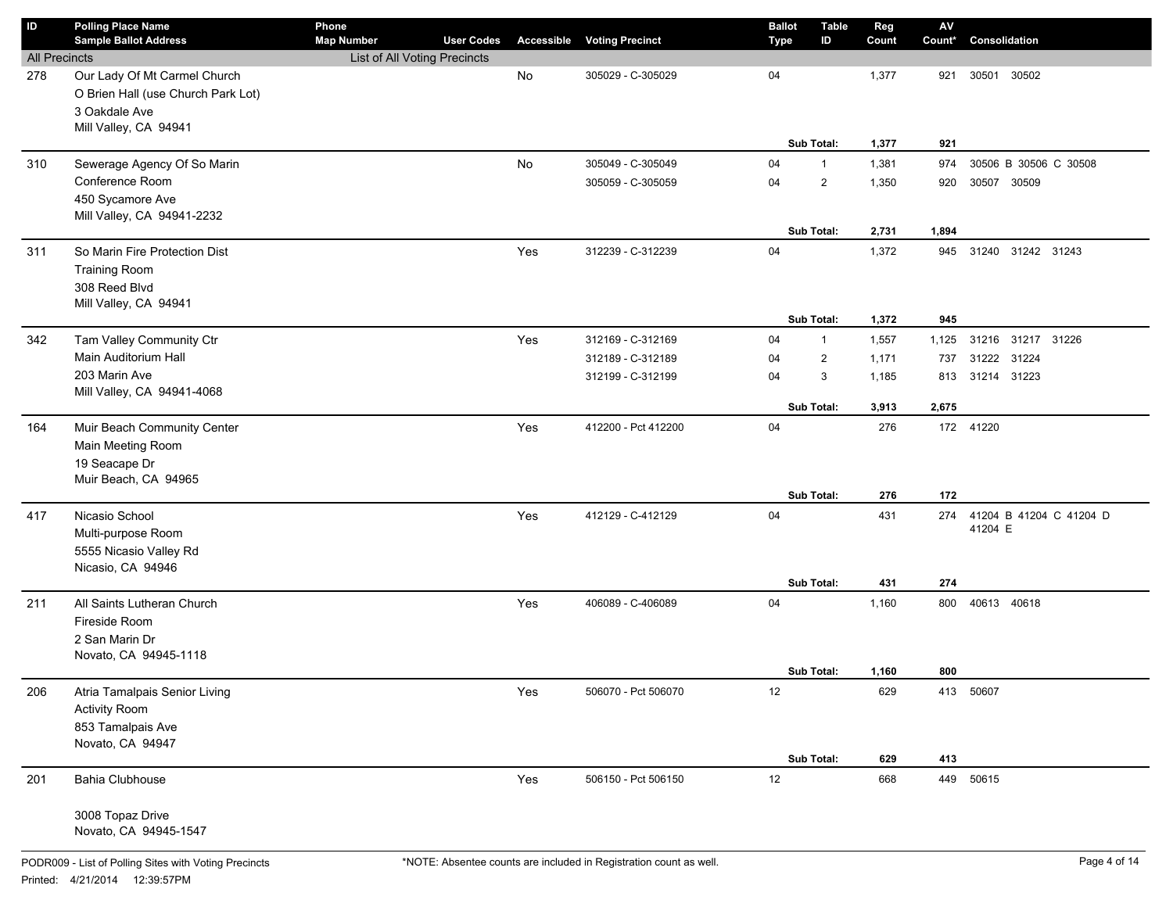| ID                   | <b>Polling Place Name</b>          | Phone                                             |                   |            |                        | <b>Ballot</b> | Table                          | Reg            | $\mathsf{AV}$ |                             |
|----------------------|------------------------------------|---------------------------------------------------|-------------------|------------|------------------------|---------------|--------------------------------|----------------|---------------|-----------------------------|
| <b>All Precincts</b> | <b>Sample Ballot Address</b>       | <b>Map Number</b><br>List of All Voting Precincts | <b>User Codes</b> | Accessible | <b>Voting Precinct</b> | <b>Type</b>   | ID                             | Count          | Count*        | Consolidation               |
| 278                  | Our Lady Of Mt Carmel Church       |                                                   |                   | No         | 305029 - C-305029      | 04            |                                | 1,377          | 921           | 30501<br>30502              |
|                      | O Brien Hall (use Church Park Lot) |                                                   |                   |            |                        |               |                                |                |               |                             |
|                      | 3 Oakdale Ave                      |                                                   |                   |            |                        |               |                                |                |               |                             |
|                      | Mill Valley, CA 94941              |                                                   |                   |            |                        |               |                                |                |               |                             |
|                      |                                    |                                                   |                   |            |                        |               | Sub Total:                     | 1,377          | 921           |                             |
| 310                  | Sewerage Agency Of So Marin        |                                                   |                   | No         | 305049 - C-305049      | 04            | $\mathbf{1}$                   | 1,381          | 974           | 30506 B 30506 C 30508       |
|                      | Conference Room                    |                                                   |                   |            | 305059 - C-305059      | 04            | $\overline{2}$                 | 1,350          | 920           | 30507 30509                 |
|                      | 450 Sycamore Ave                   |                                                   |                   |            |                        |               |                                |                |               |                             |
|                      | Mill Valley, CA 94941-2232         |                                                   |                   |            |                        |               |                                |                |               |                             |
|                      |                                    |                                                   |                   |            |                        |               | Sub Total:                     | 2,731          | 1,894         |                             |
| 311                  | So Marin Fire Protection Dist      |                                                   |                   | Yes        | 312239 - C-312239      | 04            |                                | 1,372          | 945           | 31240 31242 31243           |
|                      | <b>Training Room</b>               |                                                   |                   |            |                        |               |                                |                |               |                             |
|                      | 308 Reed Blvd                      |                                                   |                   |            |                        |               |                                |                |               |                             |
|                      | Mill Valley, CA 94941              |                                                   |                   |            |                        |               | Sub Total:                     | 1,372          | 945           |                             |
| 342                  | Tam Valley Community Ctr           |                                                   |                   | Yes        | 312169 - C-312169      | 04            |                                |                |               | 31216 31217 31226           |
|                      | Main Auditorium Hall               |                                                   |                   |            | 312189 - C-312189      | 04            | $\mathbf{1}$<br>$\overline{2}$ | 1,557<br>1,171 | 1,125<br>737  | 31222 31224                 |
|                      | 203 Marin Ave                      |                                                   |                   |            | 312199 - C-312199      | 04            | 3                              | 1,185          | 813           | 31214 31223                 |
|                      | Mill Valley, CA 94941-4068         |                                                   |                   |            |                        |               |                                |                |               |                             |
|                      |                                    |                                                   |                   |            |                        |               | <b>Sub Total:</b>              | 3,913          | 2,675         |                             |
| 164                  | Muir Beach Community Center        |                                                   |                   | Yes        | 412200 - Pct 412200    | 04            |                                | 276            |               | 172 41220                   |
|                      | Main Meeting Room                  |                                                   |                   |            |                        |               |                                |                |               |                             |
|                      | 19 Seacape Dr                      |                                                   |                   |            |                        |               |                                |                |               |                             |
|                      | Muir Beach, CA 94965               |                                                   |                   |            |                        |               |                                |                |               |                             |
|                      |                                    |                                                   |                   |            |                        |               | Sub Total:                     | 276            | 172           |                             |
| 417                  | Nicasio School                     |                                                   |                   | Yes        | 412129 - C-412129      | 04            |                                | 431            |               | 274 41204 B 41204 C 41204 D |
|                      | Multi-purpose Room                 |                                                   |                   |            |                        |               |                                |                |               | 41204 E                     |
|                      | 5555 Nicasio Valley Rd             |                                                   |                   |            |                        |               |                                |                |               |                             |
|                      | Nicasio, CA 94946                  |                                                   |                   |            |                        |               | Sub Total:                     | 431            | 274           |                             |
| 211                  | All Saints Lutheran Church         |                                                   |                   | Yes        | 406089 - C-406089      | 04            |                                | 1,160          | 800           | 40613 40618                 |
|                      | Fireside Room                      |                                                   |                   |            |                        |               |                                |                |               |                             |
|                      | 2 San Marin Dr                     |                                                   |                   |            |                        |               |                                |                |               |                             |
|                      | Novato, CA 94945-1118              |                                                   |                   |            |                        |               |                                |                |               |                             |
|                      |                                    |                                                   |                   |            |                        |               | Sub Total:                     | 1,160          | 800           |                             |
| 206                  | Atria Tamalpais Senior Living      |                                                   |                   | Yes        | 506070 - Pct 506070    | 12            |                                | 629            |               | 413 50607                   |
|                      | <b>Activity Room</b>               |                                                   |                   |            |                        |               |                                |                |               |                             |
|                      | 853 Tamalpais Ave                  |                                                   |                   |            |                        |               |                                |                |               |                             |
|                      | Novato, CA 94947                   |                                                   |                   |            |                        |               |                                |                |               |                             |
|                      |                                    |                                                   |                   |            |                        |               | Sub Total:                     | 629            | 413           |                             |
| 201                  | Bahia Clubhouse                    |                                                   |                   | Yes        | 506150 - Pct 506150    | 12            |                                | 668            |               | 449 50615                   |
|                      | 3008 Topaz Drive                   |                                                   |                   |            |                        |               |                                |                |               |                             |
|                      | Novato, CA 94945-1547              |                                                   |                   |            |                        |               |                                |                |               |                             |
|                      |                                    |                                                   |                   |            |                        |               |                                |                |               |                             |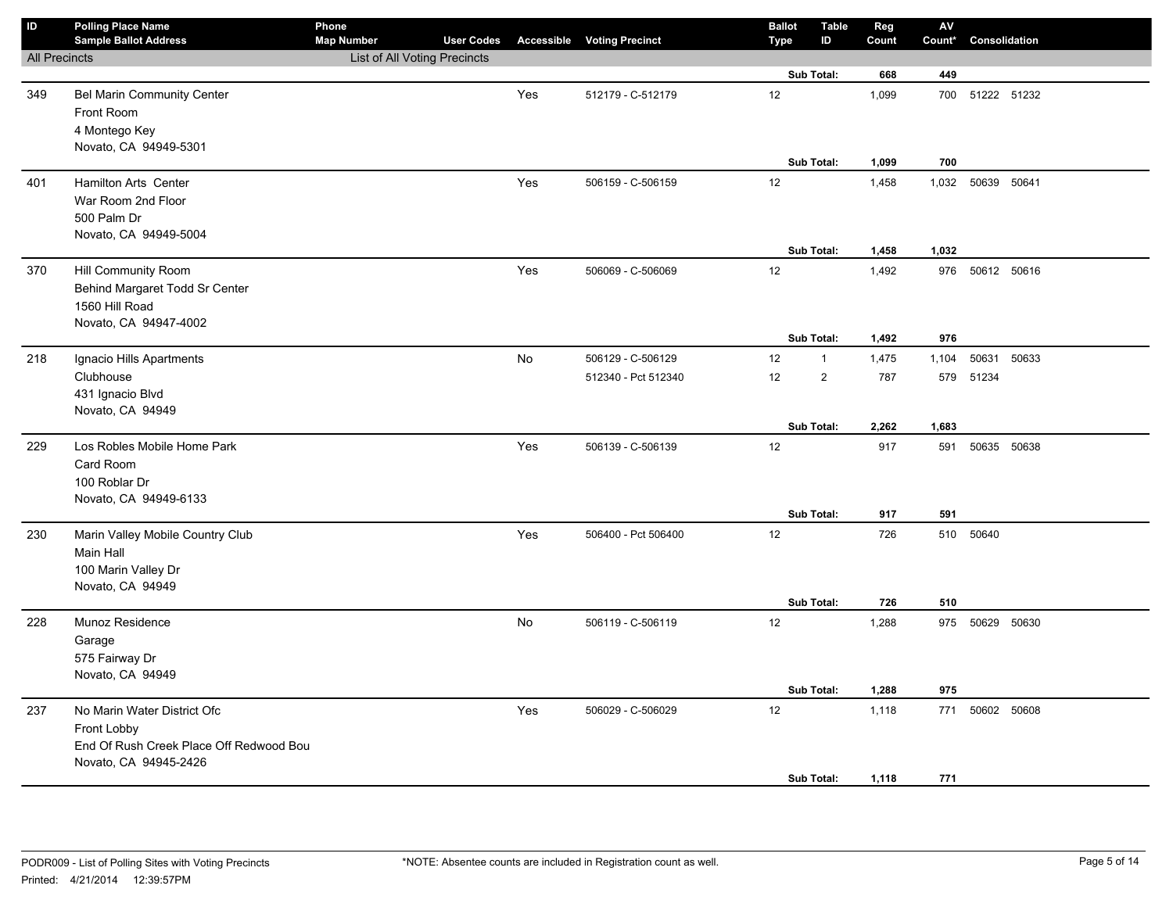| $\mathsf{ID}$        | <b>Polling Place Name</b><br><b>Sample Ballot Address</b>                                                      | Phone<br><b>Map Number</b>   | <b>User Codes</b> |     | <b>Accessible Voting Precinct</b> | <b>Ballot</b><br><b>Type</b> | <b>Table</b><br>ID | Reg<br>Count   | ${\sf AV}$<br>Count* | Consolidation   |       |
|----------------------|----------------------------------------------------------------------------------------------------------------|------------------------------|-------------------|-----|-----------------------------------|------------------------------|--------------------|----------------|----------------------|-----------------|-------|
| <b>All Precincts</b> |                                                                                                                | List of All Voting Precincts |                   |     |                                   |                              |                    |                |                      |                 |       |
|                      |                                                                                                                |                              |                   |     |                                   |                              | Sub Total:         | 668            | 449                  |                 |       |
| 349                  | <b>Bel Marin Community Center</b><br>Front Room<br>4 Montego Key<br>Novato, CA 94949-5301                      |                              |                   | Yes | 512179 - C-512179                 | 12                           |                    | 1,099          | 700                  | 51222 51232     |       |
|                      |                                                                                                                |                              |                   |     |                                   |                              | Sub Total:         | 1,099          | 700                  |                 |       |
| 401                  | <b>Hamilton Arts Center</b><br>War Room 2nd Floor<br>500 Palm Dr<br>Novato, CA 94949-5004                      |                              |                   | Yes | 506159 - C-506159                 | 12                           | Sub Total:         | 1,458<br>1,458 | 1,032<br>1,032       | 50639 50641     |       |
|                      |                                                                                                                |                              |                   |     |                                   |                              |                    |                |                      |                 |       |
| 370                  | Hill Community Room<br>Behind Margaret Todd Sr Center<br>1560 Hill Road<br>Novato, CA 94947-4002               |                              |                   | Yes | 506069 - C-506069                 | 12                           | Sub Total:         | 1,492<br>1,492 | 976<br>976           | 50612 50616     |       |
| 218                  | Ignacio Hills Apartments                                                                                       |                              |                   | No  | 506129 - C-506129                 | 12                           | $\mathbf{1}$       | 1,475          | 1,104                | 50631           | 50633 |
|                      | Clubhouse<br>431 Ignacio Blvd<br>Novato, CA 94949                                                              |                              |                   |     | 512340 - Pct 512340               | 12                           | $\overline{2}$     | 787            |                      | 579 51234       |       |
|                      |                                                                                                                |                              |                   |     |                                   |                              | Sub Total:         | 2,262          | 1,683                |                 |       |
| 229                  | Los Robles Mobile Home Park<br>Card Room<br>100 Roblar Dr<br>Novato, CA 94949-6133                             |                              |                   | Yes | 506139 - C-506139                 | 12                           |                    | 917            | 591                  | 50635 50638     |       |
|                      |                                                                                                                |                              |                   |     |                                   |                              | Sub Total:         | 917            | 591                  |                 |       |
| 230                  | Marin Valley Mobile Country Club<br>Main Hall<br>100 Marin Valley Dr<br>Novato, CA 94949                       |                              |                   | Yes | 506400 - Pct 506400               | 12                           | Sub Total:         | 726<br>726     | 510<br>510           | 50640           |       |
| 228                  | Munoz Residence<br>Garage<br>575 Fairway Dr<br>Novato, CA 94949                                                |                              |                   | No  | 506119 - C-506119                 | 12                           | Sub Total:         | 1,288<br>1,288 | 975                  | 975 50629 50630 |       |
|                      |                                                                                                                |                              |                   |     |                                   |                              |                    |                |                      |                 |       |
| 237                  | No Marin Water District Ofc<br>Front Lobby<br>End Of Rush Creek Place Off Redwood Bou<br>Novato, CA 94945-2426 |                              |                   | Yes | 506029 - C-506029                 | 12                           | Sub Total:         | 1,118<br>1,118 | 771<br>771           | 50602 50608     |       |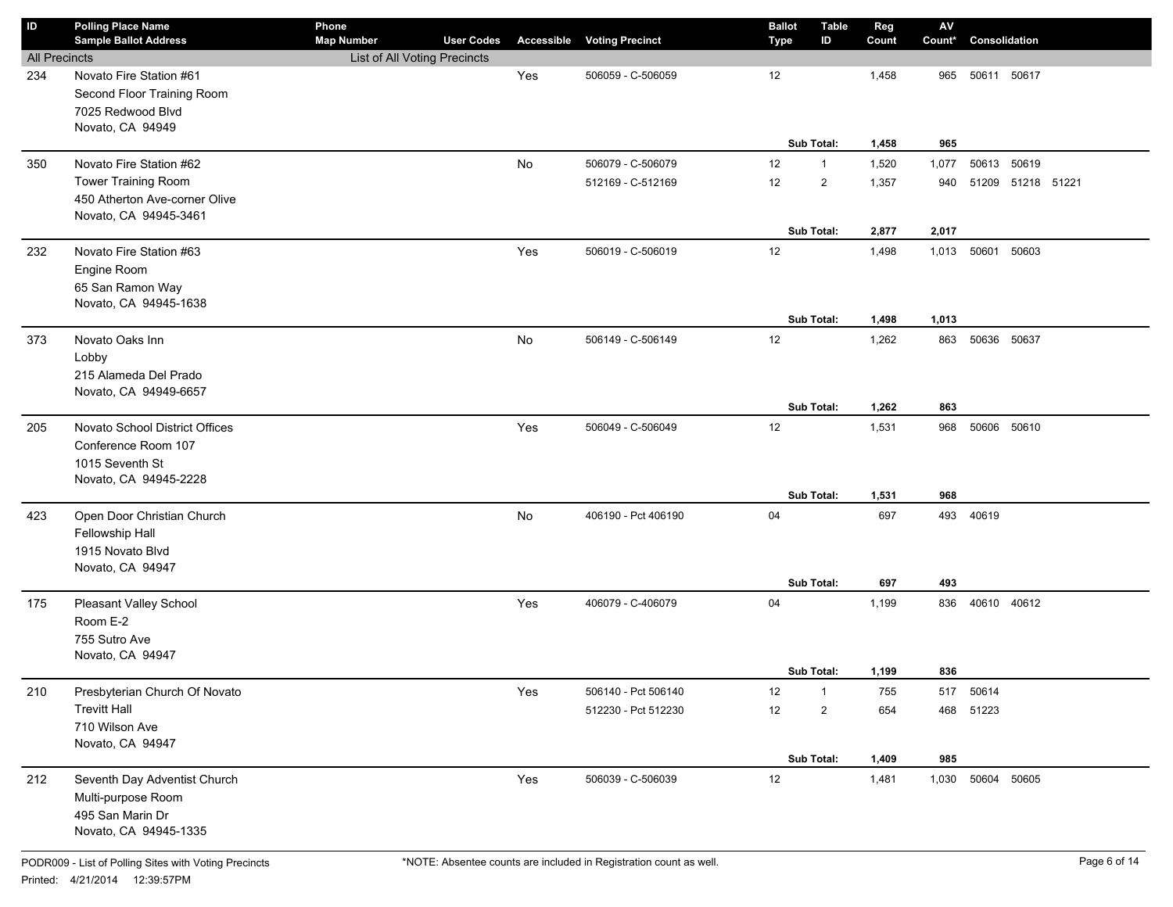| ID                   | <b>Polling Place Name</b>           | Phone                        |                   |            |                        | <b>Ballot</b> | Table          | Reg   | ${\sf AV}$ |               |                   |  |
|----------------------|-------------------------------------|------------------------------|-------------------|------------|------------------------|---------------|----------------|-------|------------|---------------|-------------------|--|
|                      | <b>Sample Ballot Address</b>        | <b>Map Number</b>            | <b>User Codes</b> | Accessible | <b>Voting Precinct</b> | Type          | ID             | Count | Count*     | Consolidation |                   |  |
| <b>All Precincts</b> |                                     | List of All Voting Precincts |                   |            |                        |               |                |       |            |               |                   |  |
| 234                  | Novato Fire Station #61             |                              |                   | Yes        | 506059 - C-506059      | 12            |                | 1,458 | 965        | 50611 50617   |                   |  |
|                      | Second Floor Training Room          |                              |                   |            |                        |               |                |       |            |               |                   |  |
|                      | 7025 Redwood Blvd                   |                              |                   |            |                        |               |                |       |            |               |                   |  |
|                      | Novato, CA 94949                    |                              |                   |            |                        |               |                |       |            |               |                   |  |
|                      |                                     |                              |                   |            |                        |               | Sub Total:     | 1,458 | 965        |               |                   |  |
| 350                  | Novato Fire Station #62             |                              |                   | No         | 506079 - C-506079      | 12            | $\mathbf{1}$   | 1,520 | 1,077      | 50613 50619   |                   |  |
|                      | <b>Tower Training Room</b>          |                              |                   |            | 512169 - C-512169      | 12            | $\overline{2}$ | 1,357 | 940        |               | 51209 51218 51221 |  |
|                      | 450 Atherton Ave-corner Olive       |                              |                   |            |                        |               |                |       |            |               |                   |  |
|                      | Novato, CA 94945-3461               |                              |                   |            |                        |               |                |       |            |               |                   |  |
|                      |                                     |                              |                   |            |                        |               | Sub Total:     | 2,877 | 2,017      |               |                   |  |
| 232                  | Novato Fire Station #63             |                              |                   | Yes        | 506019 - C-506019      | 12            |                | 1,498 | 1,013      | 50601 50603   |                   |  |
|                      | Engine Room                         |                              |                   |            |                        |               |                |       |            |               |                   |  |
|                      | 65 San Ramon Way                    |                              |                   |            |                        |               |                |       |            |               |                   |  |
|                      | Novato, CA 94945-1638               |                              |                   |            |                        |               |                |       |            |               |                   |  |
|                      |                                     |                              |                   |            |                        |               | Sub Total:     | 1,498 | 1,013      |               |                   |  |
| 373                  | Novato Oaks Inn                     |                              |                   | No         | 506149 - C-506149      | 12            |                | 1,262 | 863        | 50636         | 50637             |  |
|                      | Lobby                               |                              |                   |            |                        |               |                |       |            |               |                   |  |
|                      | 215 Alameda Del Prado               |                              |                   |            |                        |               |                |       |            |               |                   |  |
|                      | Novato, CA 94949-6657               |                              |                   |            |                        |               |                |       |            |               |                   |  |
|                      |                                     |                              |                   |            |                        |               | Sub Total:     | 1,262 | 863        |               |                   |  |
| 205                  | Novato School District Offices      |                              |                   | Yes        | 506049 - C-506049      | 12            |                | 1,531 | 968        | 50606 50610   |                   |  |
|                      | Conference Room 107                 |                              |                   |            |                        |               |                |       |            |               |                   |  |
|                      | 1015 Seventh St                     |                              |                   |            |                        |               |                |       |            |               |                   |  |
|                      | Novato, CA 94945-2228               |                              |                   |            |                        |               | Sub Total:     | 1,531 | 968        |               |                   |  |
|                      | Open Door Christian Church          |                              |                   | No         | 406190 - Pct 406190    | 04            |                | 697   |            | 493 40619     |                   |  |
| 423                  |                                     |                              |                   |            |                        |               |                |       |            |               |                   |  |
|                      | Fellowship Hall<br>1915 Novato Blvd |                              |                   |            |                        |               |                |       |            |               |                   |  |
|                      | Novato, CA 94947                    |                              |                   |            |                        |               |                |       |            |               |                   |  |
|                      |                                     |                              |                   |            |                        |               | Sub Total:     | 697   | 493        |               |                   |  |
| 175                  | Pleasant Valley School              |                              |                   | Yes        | 406079 - C-406079      | 04            |                | 1,199 | 836        | 40610 40612   |                   |  |
|                      | Room E-2                            |                              |                   |            |                        |               |                |       |            |               |                   |  |
|                      | 755 Sutro Ave                       |                              |                   |            |                        |               |                |       |            |               |                   |  |
|                      | Novato, CA 94947                    |                              |                   |            |                        |               |                |       |            |               |                   |  |
|                      |                                     |                              |                   |            |                        |               | Sub Total:     | 1,199 | 836        |               |                   |  |
| 210                  | Presbyterian Church Of Novato       |                              |                   | Yes        | 506140 - Pct 506140    | 12            | $\mathbf{1}$   | 755   | 517        | 50614         |                   |  |
|                      | <b>Trevitt Hall</b>                 |                              |                   |            | 512230 - Pct 512230    | 12            | $\overline{2}$ | 654   |            | 468 51223     |                   |  |
|                      | 710 Wilson Ave                      |                              |                   |            |                        |               |                |       |            |               |                   |  |
|                      | Novato, CA 94947                    |                              |                   |            |                        |               |                |       |            |               |                   |  |
|                      |                                     |                              |                   |            |                        |               | Sub Total:     | 1,409 | 985        |               |                   |  |
| 212                  | Seventh Day Adventist Church        |                              |                   | Yes        | 506039 - C-506039      | $12$          |                | 1,481 | 1,030      | 50604 50605   |                   |  |
|                      | Multi-purpose Room                  |                              |                   |            |                        |               |                |       |            |               |                   |  |
|                      | 495 San Marin Dr                    |                              |                   |            |                        |               |                |       |            |               |                   |  |
|                      | Novato, CA 94945-1335               |                              |                   |            |                        |               |                |       |            |               |                   |  |
|                      |                                     |                              |                   |            |                        |               |                |       |            |               |                   |  |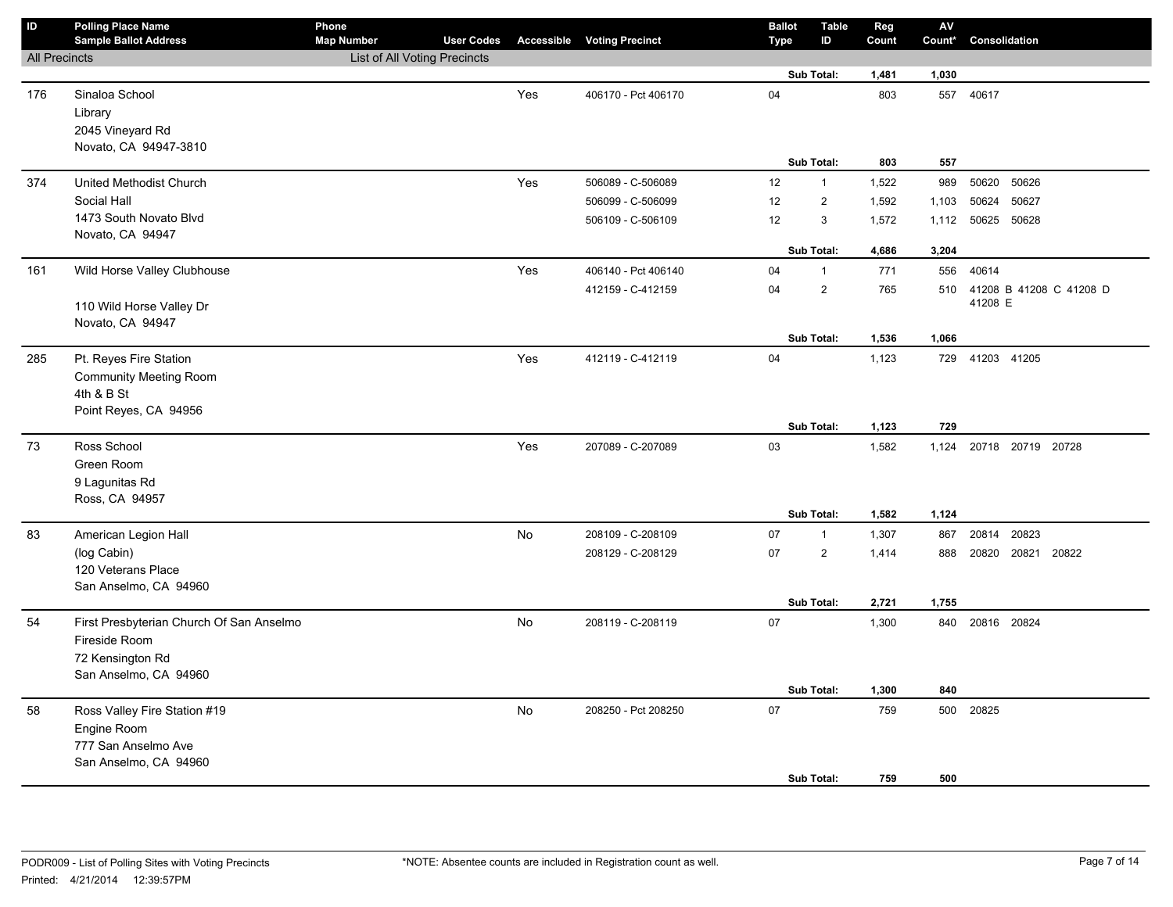| $\sf ID$             | <b>Polling Place Name</b><br><b>Sample Ballot Address</b>              | Phone<br><b>Map Number</b>   | <b>User Codes</b> |           | <b>Accessible Voting Precinct</b> | <b>Ballot</b><br>Type | <b>Table</b><br>ID      | Reg<br>Count | ${\sf AV}$<br>Count* | Consolidation           |
|----------------------|------------------------------------------------------------------------|------------------------------|-------------------|-----------|-----------------------------------|-----------------------|-------------------------|--------------|----------------------|-------------------------|
| <b>All Precincts</b> |                                                                        | List of All Voting Precincts |                   |           |                                   |                       |                         |              |                      |                         |
|                      |                                                                        |                              |                   |           |                                   |                       | Sub Total:              | 1,481        | 1,030                |                         |
| 176                  | Sinaloa School<br>Library<br>2045 Vineyard Rd<br>Novato, CA 94947-3810 |                              |                   | Yes       | 406170 - Pct 406170               | 04                    |                         | 803          |                      | 557 40617               |
|                      |                                                                        |                              |                   |           |                                   |                       | Sub Total:              | 803          | 557                  |                         |
| 374                  | United Methodist Church                                                |                              |                   | Yes       | 506089 - C-506089                 | 12                    | $\mathbf{1}$            | 1,522        | 989                  | 50620<br>50626          |
|                      | Social Hall                                                            |                              |                   |           | 506099 - C-506099                 | 12                    | $\overline{\mathbf{c}}$ | 1,592        | 1,103                | 50627<br>50624          |
|                      | 1473 South Novato Blvd                                                 |                              |                   |           | 506109 - C-506109                 | 12                    | 3                       | 1,572        | 1,112                | 50625 50628             |
|                      | Novato, CA 94947                                                       |                              |                   |           |                                   |                       | Sub Total:              | 4,686        | 3,204                |                         |
| 161                  | Wild Horse Valley Clubhouse                                            |                              |                   | Yes       | 406140 - Pct 406140               | 04                    | $\mathbf{1}$            | 771          | 556                  | 40614                   |
|                      |                                                                        |                              |                   |           | 412159 - C-412159                 | 04                    | $\overline{\mathbf{c}}$ | 765          | 510                  | 41208 B 41208 C 41208 D |
|                      | 110 Wild Horse Valley Dr                                               |                              |                   |           |                                   |                       |                         |              |                      | 41208 E                 |
|                      | Novato, CA 94947                                                       |                              |                   |           |                                   |                       | Sub Total:              | 1,536        | 1,066                |                         |
| 285                  | Pt. Reyes Fire Station                                                 |                              |                   | Yes       | 412119 - C-412119                 | 04                    |                         | 1,123        |                      | 729 41203 41205         |
|                      | <b>Community Meeting Room</b>                                          |                              |                   |           |                                   |                       |                         |              |                      |                         |
|                      | 4th & B St                                                             |                              |                   |           |                                   |                       |                         |              |                      |                         |
|                      | Point Reyes, CA 94956                                                  |                              |                   |           |                                   |                       |                         |              |                      |                         |
|                      |                                                                        |                              |                   |           |                                   |                       | Sub Total:              | 1,123        | 729                  |                         |
| 73                   | Ross School                                                            |                              |                   | Yes       | 207089 - C-207089                 | 03                    |                         | 1,582        | 1,124                | 20718 20719 20728       |
|                      | Green Room                                                             |                              |                   |           |                                   |                       |                         |              |                      |                         |
|                      | 9 Lagunitas Rd                                                         |                              |                   |           |                                   |                       |                         |              |                      |                         |
|                      | Ross, CA 94957                                                         |                              |                   |           |                                   |                       | Sub Total:              | 1,582        | 1,124                |                         |
| 83                   | American Legion Hall                                                   |                              |                   | No        | 208109 - C-208109                 | 07                    | $\mathbf{1}$            | 1,307        | 867                  | 20814 20823             |
|                      | (log Cabin)                                                            |                              |                   |           | 208129 - C-208129                 | 07                    | $\overline{2}$          | 1,414        | 888                  | 20820 20821 20822       |
|                      | 120 Veterans Place                                                     |                              |                   |           |                                   |                       |                         |              |                      |                         |
|                      | San Anselmo, CA 94960                                                  |                              |                   |           |                                   |                       |                         |              |                      |                         |
|                      |                                                                        |                              |                   |           |                                   |                       | Sub Total:              | 2,721        | 1,755                |                         |
| 54                   | First Presbyterian Church Of San Anselmo                               |                              |                   | No        | 208119 - C-208119                 | 07                    |                         | 1,300        |                      | 840 20816 20824         |
|                      | Fireside Room                                                          |                              |                   |           |                                   |                       |                         |              |                      |                         |
|                      | 72 Kensington Rd                                                       |                              |                   |           |                                   |                       |                         |              |                      |                         |
|                      | San Anselmo, CA 94960                                                  |                              |                   |           |                                   |                       |                         |              |                      |                         |
|                      |                                                                        |                              |                   |           |                                   |                       | Sub Total:              | 1,300        | 840                  |                         |
| 58                   | Ross Valley Fire Station #19                                           |                              |                   | <b>No</b> | 208250 - Pct 208250               | 07                    |                         | 759          | 500                  | 20825                   |
|                      | Engine Room                                                            |                              |                   |           |                                   |                       |                         |              |                      |                         |
|                      | 777 San Anselmo Ave                                                    |                              |                   |           |                                   |                       |                         |              |                      |                         |
|                      | San Anselmo, CA 94960                                                  |                              |                   |           |                                   |                       | Sub Total:              | 759          | 500                  |                         |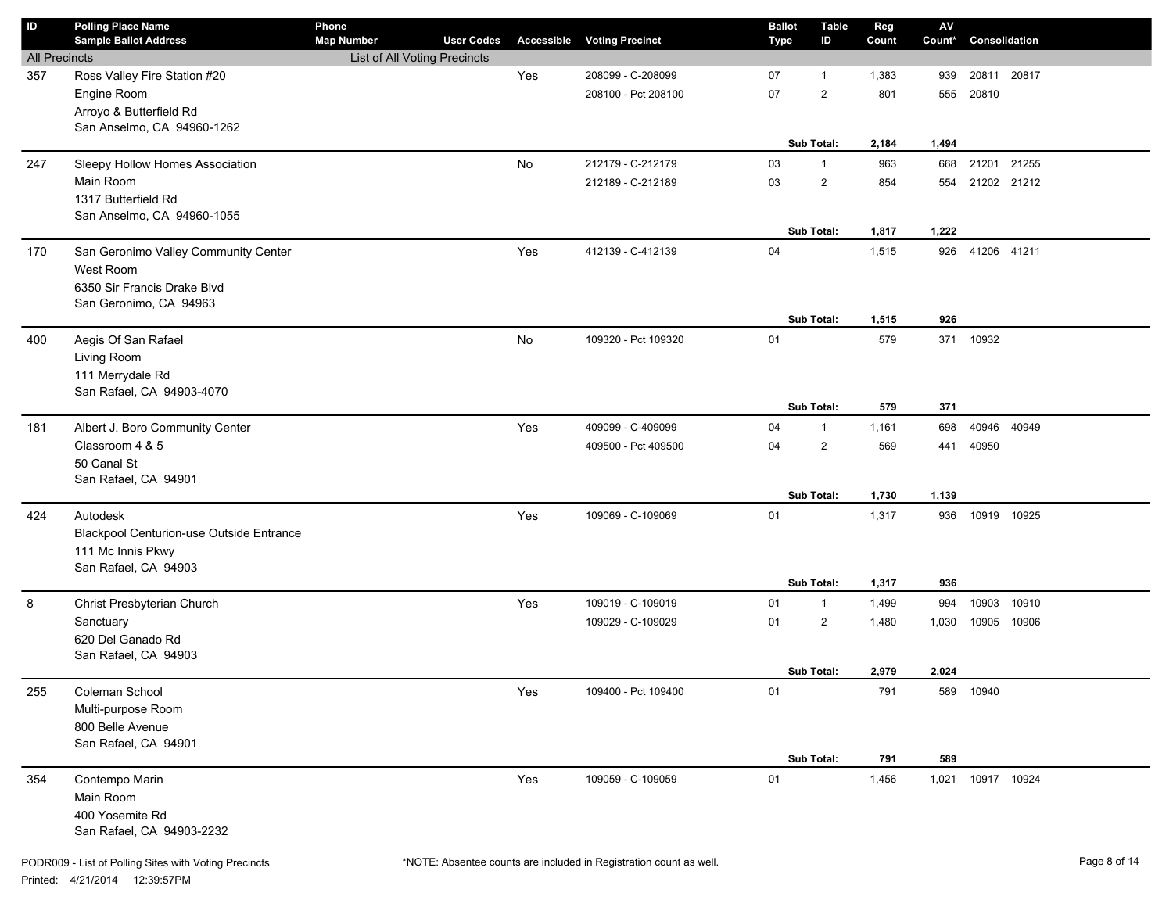| ID                   | <b>Polling Place Name</b><br><b>Sample Ballot Address</b> | Phone<br><b>Map Number</b>   | <b>User Codes</b> | Accessible | <b>Voting Precinct</b> | <b>Ballot</b><br><b>Type</b> | <b>Table</b><br>ID | Reg<br>Count | ${\sf AV}$<br>Count* | Consolidation     |  |
|----------------------|-----------------------------------------------------------|------------------------------|-------------------|------------|------------------------|------------------------------|--------------------|--------------|----------------------|-------------------|--|
| <b>All Precincts</b> |                                                           | List of All Voting Precincts |                   |            |                        |                              |                    |              |                      |                   |  |
| 357                  | Ross Valley Fire Station #20                              |                              |                   | Yes        | 208099 - C-208099      | 07                           | $\overline{1}$     | 1,383        | 939                  | 20811<br>20817    |  |
|                      | Engine Room                                               |                              |                   |            | 208100 - Pct 208100    | 07                           | $\overline{2}$     | 801          | 555                  | 20810             |  |
|                      | Arroyo & Butterfield Rd                                   |                              |                   |            |                        |                              |                    |              |                      |                   |  |
|                      | San Anselmo, CA 94960-1262                                |                              |                   |            |                        |                              |                    |              |                      |                   |  |
|                      |                                                           |                              |                   |            |                        |                              | <b>Sub Total:</b>  | 2,184        | 1,494                |                   |  |
| 247                  | Sleepy Hollow Homes Association                           |                              |                   | No         | 212179 - C-212179      | 03                           | $\mathbf{1}$       | 963          | 668                  | 21201 21255       |  |
|                      | Main Room                                                 |                              |                   |            | 212189 - C-212189      | 03                           | $\overline{2}$     | 854          | 554                  | 21202 21212       |  |
|                      | 1317 Butterfield Rd                                       |                              |                   |            |                        |                              |                    |              |                      |                   |  |
|                      | San Anselmo, CA 94960-1055                                |                              |                   |            |                        |                              |                    |              |                      |                   |  |
|                      |                                                           |                              |                   |            |                        |                              | Sub Total:         | 1,817        | 1,222                |                   |  |
| 170                  | San Geronimo Valley Community Center                      |                              |                   | Yes        | 412139 - C-412139      | 04                           |                    | 1,515        | 926                  | 41206 41211       |  |
|                      | West Room                                                 |                              |                   |            |                        |                              |                    |              |                      |                   |  |
|                      | 6350 Sir Francis Drake Blvd                               |                              |                   |            |                        |                              |                    |              |                      |                   |  |
|                      | San Geronimo, CA 94963                                    |                              |                   |            |                        |                              |                    |              |                      |                   |  |
|                      |                                                           |                              |                   |            |                        |                              | Sub Total:         | 1,515        | 926                  |                   |  |
| 400                  | Aegis Of San Rafael                                       |                              |                   | No         | 109320 - Pct 109320    | 01                           |                    | 579          | 371                  | 10932             |  |
|                      | Living Room                                               |                              |                   |            |                        |                              |                    |              |                      |                   |  |
|                      | 111 Merrydale Rd<br>San Rafael, CA 94903-4070             |                              |                   |            |                        |                              |                    |              |                      |                   |  |
|                      |                                                           |                              |                   |            |                        |                              | <b>Sub Total:</b>  | 579          | 371                  |                   |  |
| 181                  | Albert J. Boro Community Center                           |                              |                   | Yes        | 409099 - C-409099      | 04                           | $\mathbf{1}$       | 1,161        | 698                  | 40946 40949       |  |
|                      | Classroom 4 & 5                                           |                              |                   |            | 409500 - Pct 409500    | 04                           | $\overline{2}$     | 569          | 441                  | 40950             |  |
|                      | 50 Canal St                                               |                              |                   |            |                        |                              |                    |              |                      |                   |  |
|                      | San Rafael, CA 94901                                      |                              |                   |            |                        |                              |                    |              |                      |                   |  |
|                      |                                                           |                              |                   |            |                        |                              | Sub Total:         | 1,730        | 1,139                |                   |  |
| 424                  | Autodesk                                                  |                              |                   | Yes        | 109069 - C-109069      | 01                           |                    | 1,317        | 936                  | 10919 10925       |  |
|                      | <b>Blackpool Centurion-use Outside Entrance</b>           |                              |                   |            |                        |                              |                    |              |                      |                   |  |
|                      | 111 Mc Innis Pkwy                                         |                              |                   |            |                        |                              |                    |              |                      |                   |  |
|                      | San Rafael, CA 94903                                      |                              |                   |            |                        |                              |                    |              |                      |                   |  |
|                      |                                                           |                              |                   |            |                        |                              | Sub Total:         | 1,317        | 936                  |                   |  |
| 8                    | Christ Presbyterian Church                                |                              |                   | Yes        | 109019 - C-109019      | 01                           | $\mathbf{1}$       | 1,499        | 994                  | 10903<br>10910    |  |
|                      | Sanctuary                                                 |                              |                   |            | 109029 - C-109029      | 01                           | $\overline{2}$     | 1,480        | 1,030                | 10905 10906       |  |
|                      | 620 Del Ganado Rd                                         |                              |                   |            |                        |                              |                    |              |                      |                   |  |
|                      | San Rafael, CA 94903                                      |                              |                   |            |                        |                              |                    |              |                      |                   |  |
|                      |                                                           |                              |                   |            |                        |                              | <b>Sub Total:</b>  | 2,979        | 2,024                |                   |  |
| 255                  | Coleman School                                            |                              |                   | Yes        | 109400 - Pct 109400    | 01                           |                    | 791          | 589                  | 10940             |  |
|                      | Multi-purpose Room                                        |                              |                   |            |                        |                              |                    |              |                      |                   |  |
|                      | 800 Belle Avenue<br>San Rafael, CA 94901                  |                              |                   |            |                        |                              |                    |              |                      |                   |  |
|                      |                                                           |                              |                   |            |                        |                              | Sub Total:         | 791          | 589                  |                   |  |
| 354                  | Contempo Marin                                            |                              |                   | Yes        | 109059 - C-109059      | 01                           |                    | 1,456        |                      | 1,021 10917 10924 |  |
|                      | Main Room                                                 |                              |                   |            |                        |                              |                    |              |                      |                   |  |
|                      | 400 Yosemite Rd                                           |                              |                   |            |                        |                              |                    |              |                      |                   |  |
|                      | San Rafael, CA 94903-2232                                 |                              |                   |            |                        |                              |                    |              |                      |                   |  |
|                      |                                                           |                              |                   |            |                        |                              |                    |              |                      |                   |  |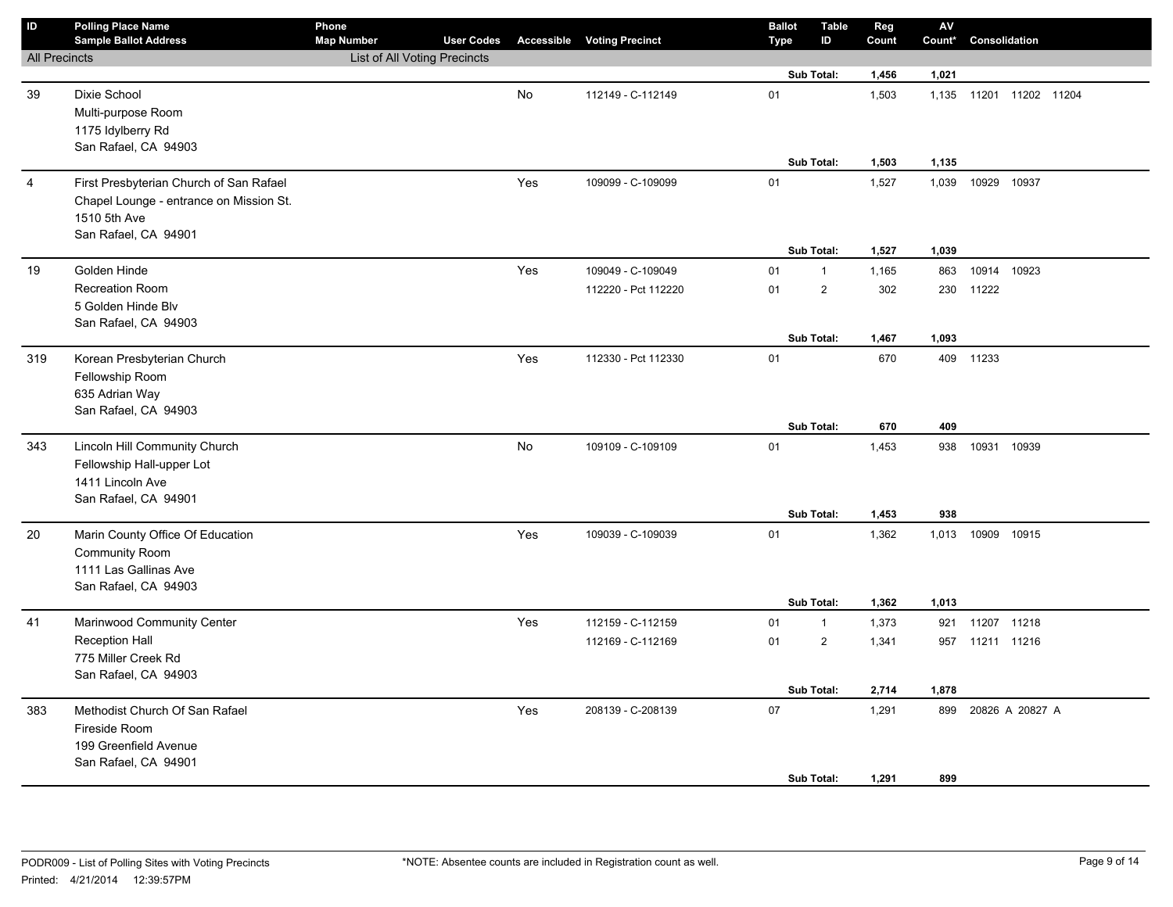| ID                   | <b>Polling Place Name</b>               | Phone                        |                   |     |                                   | <b>Ballot</b> | Table          | Reg   | ${\sf AV}$ |                   |  |
|----------------------|-----------------------------------------|------------------------------|-------------------|-----|-----------------------------------|---------------|----------------|-------|------------|-------------------|--|
|                      | <b>Sample Ballot Address</b>            | <b>Map Number</b>            | <b>User Codes</b> |     | <b>Accessible Voting Precinct</b> | Type          | ID             | Count | Count*     | Consolidation     |  |
| <b>All Precincts</b> |                                         | List of All Voting Precincts |                   |     |                                   |               | Sub Total:     | 1,456 | 1,021      |                   |  |
|                      |                                         |                              |                   |     |                                   |               |                |       |            |                   |  |
| 39                   | Dixie School                            |                              |                   | No  | 112149 - C-112149                 | 01            |                | 1,503 | 1,135      | 11201 11202 11204 |  |
|                      | Multi-purpose Room<br>1175 Idylberry Rd |                              |                   |     |                                   |               |                |       |            |                   |  |
|                      | San Rafael, CA 94903                    |                              |                   |     |                                   |               |                |       |            |                   |  |
|                      |                                         |                              |                   |     |                                   |               | Sub Total:     | 1,503 | 1,135      |                   |  |
| $\overline{4}$       | First Presbyterian Church of San Rafael |                              |                   | Yes | 109099 - C-109099                 | 01            |                | 1,527 | 1,039      | 10929 10937       |  |
|                      | Chapel Lounge - entrance on Mission St. |                              |                   |     |                                   |               |                |       |            |                   |  |
|                      | 1510 5th Ave                            |                              |                   |     |                                   |               |                |       |            |                   |  |
|                      | San Rafael, CA 94901                    |                              |                   |     |                                   |               |                |       |            |                   |  |
|                      |                                         |                              |                   |     |                                   |               | Sub Total:     | 1,527 | 1,039      |                   |  |
| 19                   | Golden Hinde                            |                              |                   | Yes | 109049 - C-109049                 | 01            | $\mathbf{1}$   | 1,165 | 863        | 10914 10923       |  |
|                      | <b>Recreation Room</b>                  |                              |                   |     | 112220 - Pct 112220               | 01            | $\mathbf 2$    | 302   | 230        | 11222             |  |
|                      | 5 Golden Hinde Blv                      |                              |                   |     |                                   |               |                |       |            |                   |  |
|                      | San Rafael, CA 94903                    |                              |                   |     |                                   |               |                |       |            |                   |  |
|                      |                                         |                              |                   |     |                                   |               | Sub Total:     | 1,467 | 1,093      |                   |  |
| 319                  | Korean Presbyterian Church              |                              |                   | Yes | 112330 - Pct 112330               | 01            |                | 670   |            | 409 11233         |  |
|                      | Fellowship Room                         |                              |                   |     |                                   |               |                |       |            |                   |  |
|                      | 635 Adrian Way<br>San Rafael, CA 94903  |                              |                   |     |                                   |               |                |       |            |                   |  |
|                      |                                         |                              |                   |     |                                   |               | Sub Total:     | 670   | 409        |                   |  |
| 343                  | Lincoln Hill Community Church           |                              |                   | No  | 109109 - C-109109                 | 01            |                | 1,453 | 938        | 10931 10939       |  |
|                      | Fellowship Hall-upper Lot               |                              |                   |     |                                   |               |                |       |            |                   |  |
|                      | 1411 Lincoln Ave                        |                              |                   |     |                                   |               |                |       |            |                   |  |
|                      | San Rafael, CA 94901                    |                              |                   |     |                                   |               |                |       |            |                   |  |
|                      |                                         |                              |                   |     |                                   |               | Sub Total:     | 1,453 | 938        |                   |  |
| 20                   | Marin County Office Of Education        |                              |                   | Yes | 109039 - C-109039                 | 01            |                | 1,362 | 1,013      | 10909 10915       |  |
|                      | <b>Community Room</b>                   |                              |                   |     |                                   |               |                |       |            |                   |  |
|                      | 1111 Las Gallinas Ave                   |                              |                   |     |                                   |               |                |       |            |                   |  |
|                      | San Rafael, CA 94903                    |                              |                   |     |                                   |               |                |       |            |                   |  |
|                      |                                         |                              |                   |     |                                   |               | Sub Total:     | 1,362 | 1,013      |                   |  |
| 41                   | Marinwood Community Center              |                              |                   | Yes | 112159 - C-112159                 | 01            | $\mathbf{1}$   | 1,373 | 921        | 11207 11218       |  |
|                      | <b>Reception Hall</b>                   |                              |                   |     | 112169 - C-112169                 | 01            | $\overline{2}$ | 1,341 | 957        | 11211 11216       |  |
|                      | 775 Miller Creek Rd                     |                              |                   |     |                                   |               |                |       |            |                   |  |
|                      | San Rafael, CA 94903                    |                              |                   |     |                                   |               | Sub Total:     | 2,714 | 1,878      |                   |  |
| 383                  | Methodist Church Of San Rafael          |                              |                   | Yes | 208139 - C-208139                 | 07            |                | 1,291 | 899        | 20826 A 20827 A   |  |
|                      | Fireside Room                           |                              |                   |     |                                   |               |                |       |            |                   |  |
|                      | 199 Greenfield Avenue                   |                              |                   |     |                                   |               |                |       |            |                   |  |
|                      | San Rafael, CA 94901                    |                              |                   |     |                                   |               |                |       |            |                   |  |
|                      |                                         |                              |                   |     |                                   |               | Sub Total:     | 1,291 | 899        |                   |  |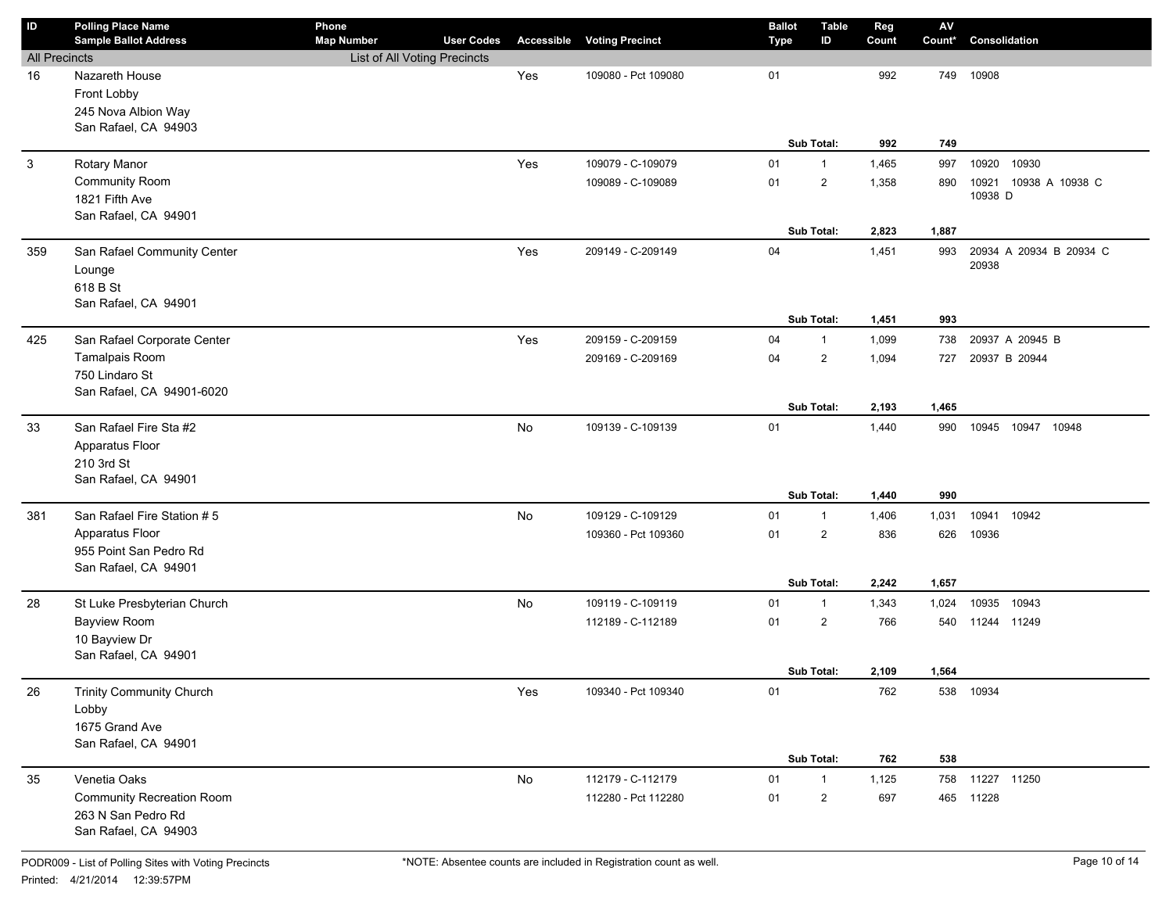| ID                   | <b>Polling Place Name</b><br><b>Sample Ballot Address</b> | Phone<br><b>Map Number</b>   | <b>User Codes</b> | Accessible | <b>Voting Precinct</b> | <b>Ballot</b><br><b>Type</b> | <b>Table</b><br>ID | Reg<br>Count | ${\sf AV}$<br>Count* | Consolidation                    |
|----------------------|-----------------------------------------------------------|------------------------------|-------------------|------------|------------------------|------------------------------|--------------------|--------------|----------------------|----------------------------------|
| <b>All Precincts</b> |                                                           | List of All Voting Precincts |                   |            |                        |                              |                    |              |                      |                                  |
| 16                   | Nazareth House                                            |                              |                   | Yes        | 109080 - Pct 109080    | 01                           |                    | 992          | 749                  | 10908                            |
|                      | Front Lobby                                               |                              |                   |            |                        |                              |                    |              |                      |                                  |
|                      | 245 Nova Albion Way                                       |                              |                   |            |                        |                              |                    |              |                      |                                  |
|                      | San Rafael, CA 94903                                      |                              |                   |            |                        |                              |                    |              |                      |                                  |
|                      |                                                           |                              |                   |            |                        |                              | Sub Total:         | 992          | 749                  |                                  |
| $\mathbf{3}$         | Rotary Manor                                              |                              |                   | Yes        | 109079 - C-109079      | 01                           | $\mathbf{1}$       | 1,465        | 997                  | 10920 10930                      |
|                      | Community Room                                            |                              |                   |            | 109089 - C-109089      | 01                           | $\overline{2}$     | 1,358        | 890                  | 10921 10938 A 10938 C<br>10938 D |
|                      | 1821 Fifth Ave                                            |                              |                   |            |                        |                              |                    |              |                      |                                  |
|                      | San Rafael, CA 94901                                      |                              |                   |            |                        |                              | Sub Total:         | 2,823        | 1,887                |                                  |
| 359                  | San Rafael Community Center                               |                              |                   | Yes        | 209149 - C-209149      | 04                           |                    | 1,451        | 993                  | 20934 A 20934 B 20934 C          |
|                      | Lounge                                                    |                              |                   |            |                        |                              |                    |              |                      | 20938                            |
|                      | 618 B St                                                  |                              |                   |            |                        |                              |                    |              |                      |                                  |
|                      | San Rafael, CA 94901                                      |                              |                   |            |                        |                              |                    |              |                      |                                  |
|                      |                                                           |                              |                   |            |                        |                              | Sub Total:         | 1,451        | 993                  |                                  |
| 425                  | San Rafael Corporate Center                               |                              |                   | Yes        | 209159 - C-209159      | 04                           | $\mathbf{1}$       | 1,099        | 738                  | 20937 A 20945 B                  |
|                      | Tamalpais Room                                            |                              |                   |            | 209169 - C-209169      | 04                           | $\overline{2}$     | 1,094        | 727                  | 20937 B 20944                    |
|                      | 750 Lindaro St                                            |                              |                   |            |                        |                              |                    |              |                      |                                  |
|                      | San Rafael, CA 94901-6020                                 |                              |                   |            |                        |                              |                    |              |                      |                                  |
|                      |                                                           |                              |                   |            |                        |                              | Sub Total:         | 2,193        | 1,465                |                                  |
| 33                   | San Rafael Fire Sta #2                                    |                              |                   | No         | 109139 - C-109139      | 01                           |                    | 1,440        | 990                  | 10945 10947 10948                |
|                      | Apparatus Floor                                           |                              |                   |            |                        |                              |                    |              |                      |                                  |
|                      | 210 3rd St                                                |                              |                   |            |                        |                              |                    |              |                      |                                  |
|                      | San Rafael, CA 94901                                      |                              |                   |            |                        |                              | Sub Total:         | 1,440        | 990                  |                                  |
| 381                  | San Rafael Fire Station #5                                |                              |                   | No         | 109129 - C-109129      | 01                           | 1                  | 1,406        | 1,031                | 10941 10942                      |
|                      | Apparatus Floor                                           |                              |                   |            | 109360 - Pct 109360    | 01                           | $\overline{2}$     | 836          | 626                  | 10936                            |
|                      | 955 Point San Pedro Rd                                    |                              |                   |            |                        |                              |                    |              |                      |                                  |
|                      | San Rafael, CA 94901                                      |                              |                   |            |                        |                              |                    |              |                      |                                  |
|                      |                                                           |                              |                   |            |                        |                              | Sub Total:         | 2,242        | 1,657                |                                  |
| 28                   | St Luke Presbyterian Church                               |                              |                   | No         | 109119 - C-109119      | 01                           | 1                  | 1,343        | 1,024                | 10935 10943                      |
|                      | <b>Bayview Room</b>                                       |                              |                   |            | 112189 - C-112189      | 01                           | $\overline{2}$     | 766          |                      | 540 11244 11249                  |
|                      | 10 Bayview Dr                                             |                              |                   |            |                        |                              |                    |              |                      |                                  |
|                      | San Rafael, CA 94901                                      |                              |                   |            |                        |                              |                    |              |                      |                                  |
|                      |                                                           |                              |                   |            |                        |                              | Sub Total:         | 2,109        | 1,564                |                                  |
| 26                   | <b>Trinity Community Church</b>                           |                              |                   | Yes        | 109340 - Pct 109340    | 01                           |                    | 762          |                      | 538 10934                        |
|                      | Lobby                                                     |                              |                   |            |                        |                              |                    |              |                      |                                  |
|                      | 1675 Grand Ave                                            |                              |                   |            |                        |                              |                    |              |                      |                                  |
|                      | San Rafael, CA 94901                                      |                              |                   |            |                        |                              | Sub Total:         | 762          | 538                  |                                  |
| 35                   | Venetia Oaks                                              |                              |                   | No         | 112179 - C-112179      | 01                           | $\mathbf{1}$       | 1,125        |                      | 758 11227 11250                  |
|                      | <b>Community Recreation Room</b>                          |                              |                   |            | 112280 - Pct 112280    | 01                           | $\overline{2}$     | 697          |                      | 465 11228                        |
|                      | 263 N San Pedro Rd                                        |                              |                   |            |                        |                              |                    |              |                      |                                  |
|                      | San Rafael, CA 94903                                      |                              |                   |            |                        |                              |                    |              |                      |                                  |
|                      |                                                           |                              |                   |            |                        |                              |                    |              |                      |                                  |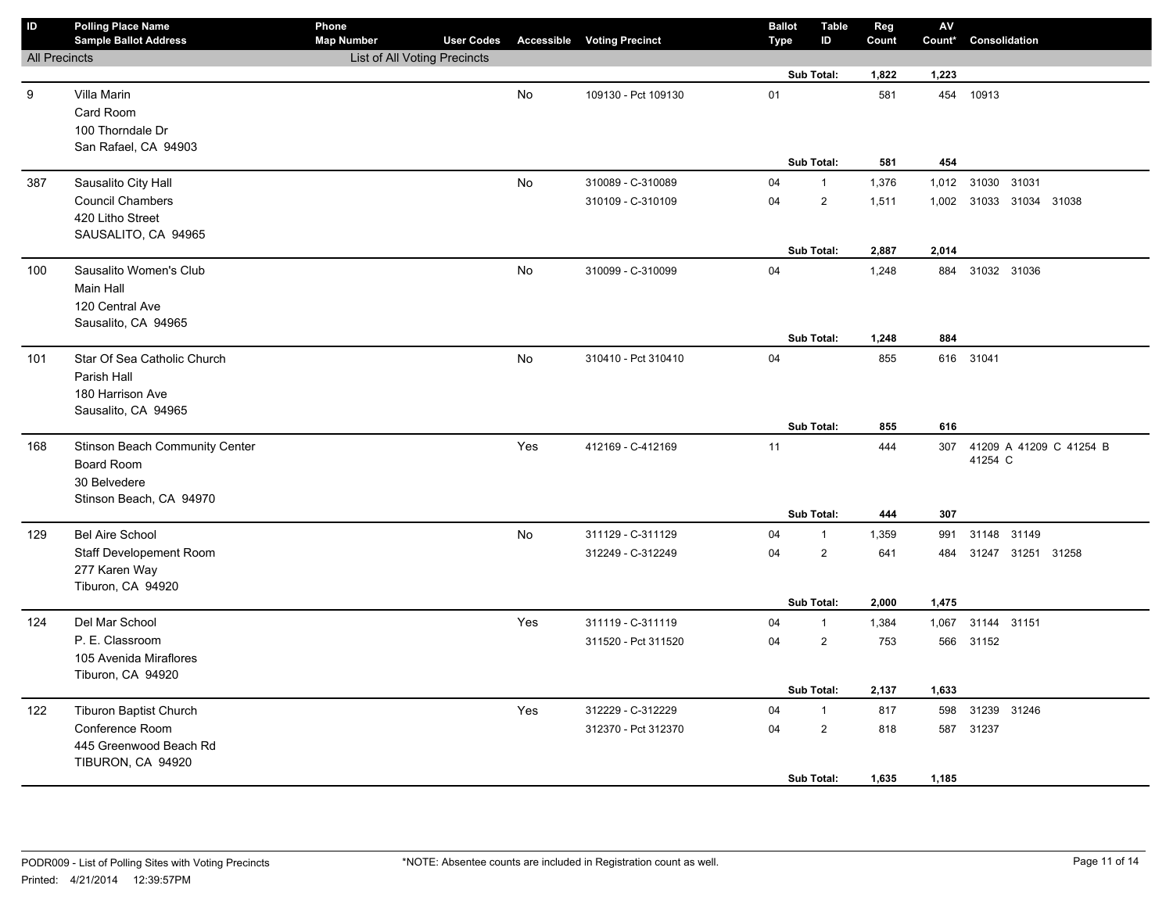| ID                   | <b>Polling Place Name</b><br><b>Sample Ballot Address</b> | Phone<br><b>Map Number</b>   | <b>User Codes</b> |           | <b>Accessible Voting Precinct</b> | <b>Ballot</b><br><b>Type</b> | <b>Table</b><br>ID      | Reg<br>Count | ${\sf AV}$<br>Count* | Consolidation                      |
|----------------------|-----------------------------------------------------------|------------------------------|-------------------|-----------|-----------------------------------|------------------------------|-------------------------|--------------|----------------------|------------------------------------|
| <b>All Precincts</b> |                                                           | List of All Voting Precincts |                   |           |                                   |                              |                         |              |                      |                                    |
|                      |                                                           |                              |                   |           |                                   |                              | Sub Total:              | 1,822        | 1,223                |                                    |
| 9                    | Villa Marin                                               |                              |                   | No        | 109130 - Pct 109130               | 01                           |                         | 581          |                      | 454 10913                          |
|                      | Card Room                                                 |                              |                   |           |                                   |                              |                         |              |                      |                                    |
|                      | 100 Thorndale Dr                                          |                              |                   |           |                                   |                              |                         |              |                      |                                    |
|                      | San Rafael, CA 94903                                      |                              |                   |           |                                   |                              |                         |              |                      |                                    |
|                      |                                                           |                              |                   |           |                                   |                              | Sub Total:              | 581          | 454                  |                                    |
| 387                  | Sausalito City Hall                                       |                              |                   | No        | 310089 - C-310089                 | 04                           | $\mathbf{1}$            | 1,376        | 1,012                | 31030 31031                        |
|                      | <b>Council Chambers</b>                                   |                              |                   |           | 310109 - C-310109                 | 04                           | $\overline{\mathbf{c}}$ | 1,511        |                      | 1,002 31033 31034 31038            |
|                      | 420 Litho Street                                          |                              |                   |           |                                   |                              |                         |              |                      |                                    |
|                      | SAUSALITO, CA 94965                                       |                              |                   |           |                                   |                              |                         |              |                      |                                    |
|                      |                                                           |                              |                   |           |                                   |                              | Sub Total:              | 2,887        | 2,014                |                                    |
| 100                  | Sausalito Women's Club                                    |                              |                   | No        | 310099 - C-310099                 | 04                           |                         | 1,248        | 884                  | 31032 31036                        |
|                      | Main Hall                                                 |                              |                   |           |                                   |                              |                         |              |                      |                                    |
|                      | 120 Central Ave                                           |                              |                   |           |                                   |                              |                         |              |                      |                                    |
|                      | Sausalito, CA 94965                                       |                              |                   |           |                                   |                              |                         |              |                      |                                    |
|                      |                                                           |                              |                   |           |                                   |                              | Sub Total:              | 1,248        | 884                  |                                    |
| 101                  | Star Of Sea Catholic Church                               |                              |                   | <b>No</b> | 310410 - Pct 310410               | 04                           |                         | 855          |                      | 616 31041                          |
|                      | Parish Hall                                               |                              |                   |           |                                   |                              |                         |              |                      |                                    |
|                      | 180 Harrison Ave                                          |                              |                   |           |                                   |                              |                         |              |                      |                                    |
|                      | Sausalito, CA 94965                                       |                              |                   |           |                                   |                              |                         |              |                      |                                    |
|                      |                                                           |                              |                   |           |                                   |                              | Sub Total:              | 855          | 616                  |                                    |
| 168                  | Stinson Beach Community Center                            |                              |                   | Yes       | 412169 - C-412169                 | 11                           |                         | 444          | 307                  | 41209 A 41209 C 41254 B<br>41254 C |
|                      | Board Room                                                |                              |                   |           |                                   |                              |                         |              |                      |                                    |
|                      | 30 Belvedere<br>Stinson Beach, CA 94970                   |                              |                   |           |                                   |                              |                         |              |                      |                                    |
|                      |                                                           |                              |                   |           |                                   |                              | Sub Total:              | 444          | 307                  |                                    |
| 129                  | <b>Bel Aire School</b>                                    |                              |                   | No        | 311129 - C-311129                 | 04                           | $\mathbf{1}$            | 1,359        | 991                  | 31148 31149                        |
|                      | Staff Developement Room                                   |                              |                   |           | 312249 - C-312249                 | 04                           | $\overline{2}$          | 641          | 484                  | 31247 31251 31258                  |
|                      | 277 Karen Way                                             |                              |                   |           |                                   |                              |                         |              |                      |                                    |
|                      | Tiburon, CA 94920                                         |                              |                   |           |                                   |                              |                         |              |                      |                                    |
|                      |                                                           |                              |                   |           |                                   |                              | Sub Total:              | 2,000        | 1,475                |                                    |
| 124                  | Del Mar School                                            |                              |                   | Yes       | 311119 - C-311119                 | 04                           | $\mathbf{1}$            | 1,384        | 1,067                | 31144 31151                        |
|                      | P. E. Classroom                                           |                              |                   |           | 311520 - Pct 311520               | 04                           | $\overline{2}$          | 753          | 566                  | 31152                              |
|                      | 105 Avenida Miraflores                                    |                              |                   |           |                                   |                              |                         |              |                      |                                    |
|                      | Tiburon, CA 94920                                         |                              |                   |           |                                   |                              |                         |              |                      |                                    |
|                      |                                                           |                              |                   |           |                                   |                              | Sub Total:              | 2,137        | 1,633                |                                    |
| 122                  | <b>Tiburon Baptist Church</b>                             |                              |                   | Yes       | 312229 - C-312229                 | 04                           | $\mathbf{1}$            | 817          | 598                  | 31239 31246                        |
|                      | Conference Room                                           |                              |                   |           | 312370 - Pct 312370               | 04                           | $\overline{2}$          | 818          |                      | 587 31237                          |
|                      | 445 Greenwood Beach Rd                                    |                              |                   |           |                                   |                              |                         |              |                      |                                    |
|                      | TIBURON, CA 94920                                         |                              |                   |           |                                   |                              |                         |              |                      |                                    |
|                      |                                                           |                              |                   |           |                                   |                              | Sub Total:              | 1,635        | 1,185                |                                    |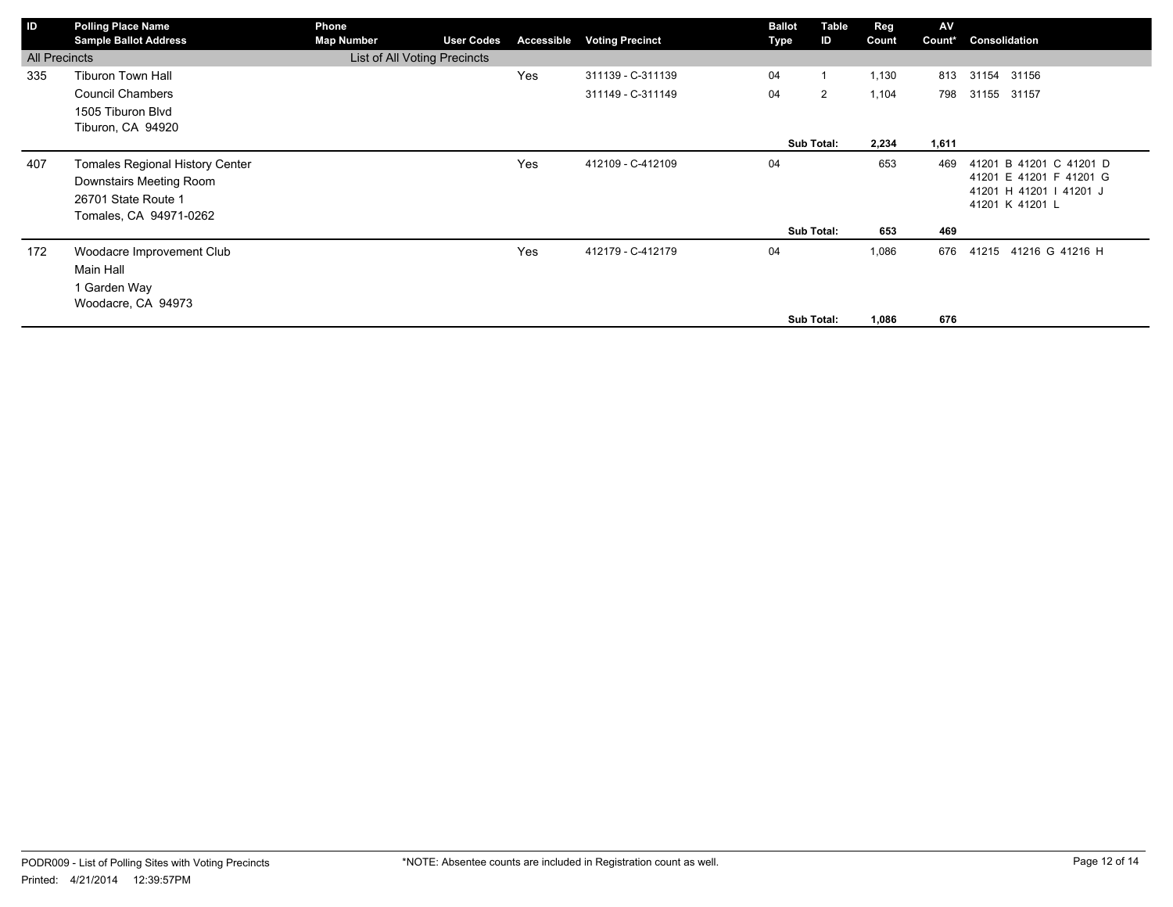| ID                   | <b>Polling Place Name</b><br><b>Sample Ballot Address</b> | Phone<br><b>Map Number</b>   | <b>User Codes</b> | Accessible | <b>Voting Precinct</b> | <b>Ballot</b><br>Type | Table<br>ID    | Reg<br>Count | AV<br>Count* | Consolidation                                      |
|----------------------|-----------------------------------------------------------|------------------------------|-------------------|------------|------------------------|-----------------------|----------------|--------------|--------------|----------------------------------------------------|
| <b>All Precincts</b> |                                                           | List of All Voting Precincts |                   |            |                        |                       |                |              |              |                                                    |
| 335                  | <b>Tiburon Town Hall</b>                                  |                              |                   | Yes        | 311139 - C-311139      | 04                    |                | 1,130        | 813          | 31154 31156                                        |
|                      | <b>Council Chambers</b>                                   |                              |                   |            | 311149 - C-311149      | 04                    | $\overline{2}$ | 1,104        | 798          | 31155 31157                                        |
|                      | 1505 Tiburon Blvd                                         |                              |                   |            |                        |                       |                |              |              |                                                    |
|                      | Tiburon, CA 94920                                         |                              |                   |            |                        |                       |                |              |              |                                                    |
|                      |                                                           |                              |                   |            |                        |                       | Sub Total:     | 2,234        | 1,611        |                                                    |
| 407                  | <b>Tomales Regional History Center</b>                    |                              |                   | Yes        | 412109 - C-412109      | 04                    |                | 653          | 469          | 41201 B 41201 C 41201 D                            |
|                      | Downstairs Meeting Room                                   |                              |                   |            |                        |                       |                |              |              | 41201 E 41201 F 41201 G<br>41201 H 41201   41201 J |
|                      | 26701 State Route 1                                       |                              |                   |            |                        |                       |                |              |              | 41201 K 41201 L                                    |
|                      | Tomales, CA 94971-0262                                    |                              |                   |            |                        |                       |                |              |              |                                                    |
|                      |                                                           |                              |                   |            |                        |                       | Sub Total:     | 653          | 469          |                                                    |
| 172                  | Woodacre Improvement Club                                 |                              |                   | Yes        | 412179 - C-412179      | 04                    |                | 1,086        | 676          | 41216 G 41216 H<br>41215                           |
|                      | Main Hall                                                 |                              |                   |            |                        |                       |                |              |              |                                                    |
|                      | 1 Garden Way                                              |                              |                   |            |                        |                       |                |              |              |                                                    |
|                      | Woodacre, CA 94973                                        |                              |                   |            |                        |                       |                |              |              |                                                    |
|                      |                                                           |                              |                   |            |                        |                       | Sub Total:     | 1,086        | 676          |                                                    |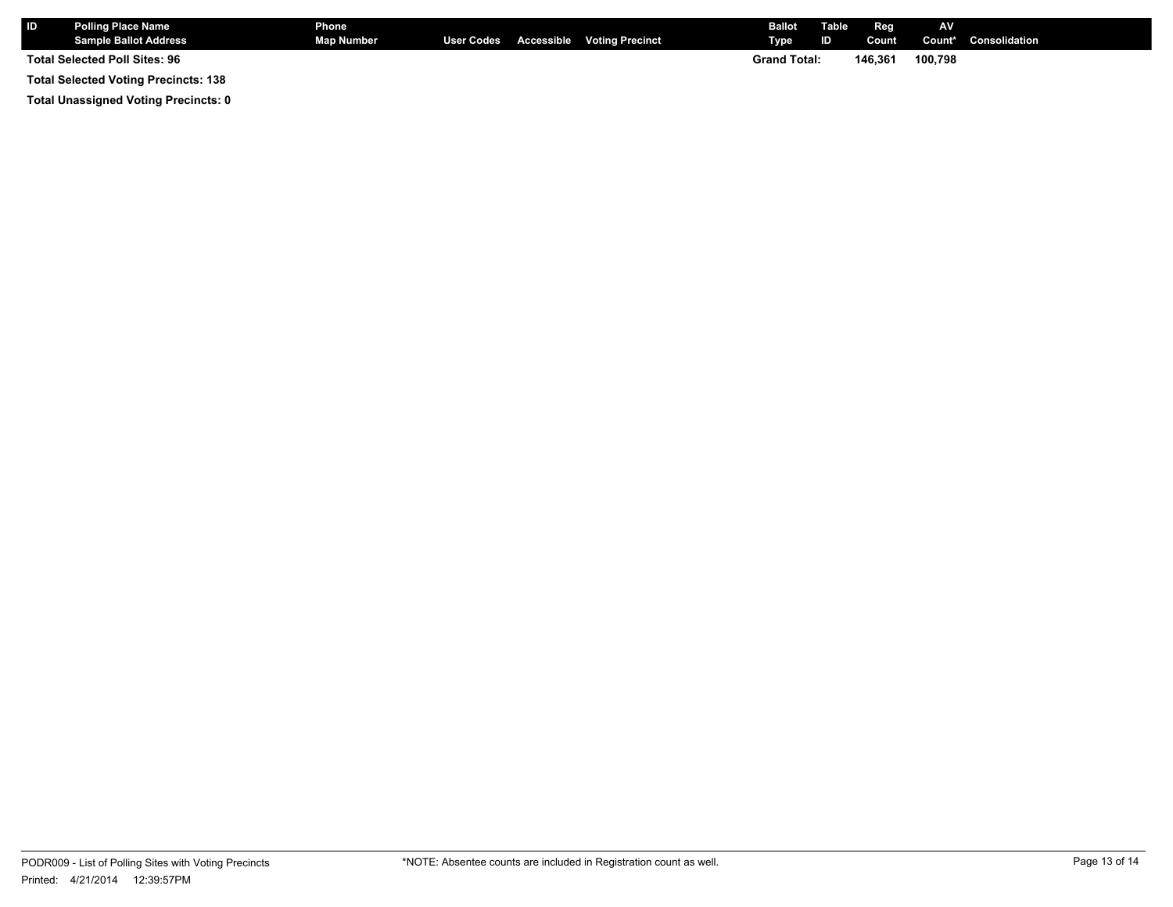| l ID                                        | <b>Polling Place Name</b><br><b>Sample Ballot Address</b> | <b>Phone</b><br><b>Map Number</b> |                     |  | User Codes Accessible Voting Precinct | <b>Ballot</b><br>Type | Table<br>ID | Reg<br>Count | <b>AV</b> | <b>Count*</b> Consolidation |
|---------------------------------------------|-----------------------------------------------------------|-----------------------------------|---------------------|--|---------------------------------------|-----------------------|-------------|--------------|-----------|-----------------------------|
| <b>Total Selected Poll Sites: 96</b>        |                                                           |                                   | <b>Grand Total:</b> |  | 146.361                               | 100,798               |             |              |           |                             |
| <b>Total Selected Voting Precincts: 138</b> |                                                           |                                   |                     |  |                                       |                       |             |              |           |                             |

**Total Unassigned Voting Precincts: 0**